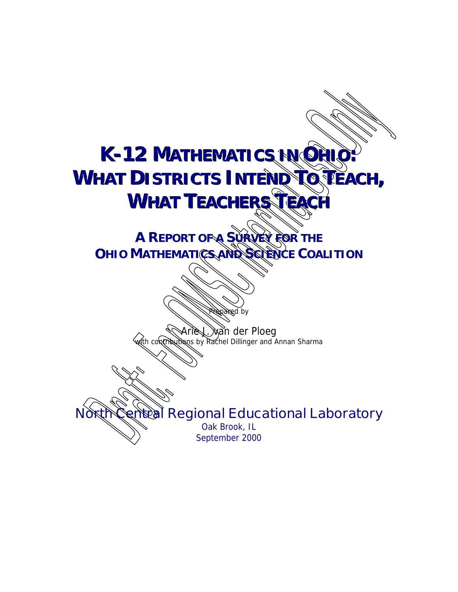# **K-12 MATHEMATICS IN ORII WHAT DISTRICTS INTEND TO PEACH, WHAT TEACHERS TEACH**

**A REPORT OF A SURVEY FOR THE OHIO MATHEMATICS AND SCIENCE COALITION** 

> wan der Ploeg with contributions by Rachel Dillinger and Annan Sharma

d by

**North Central Regional Educational Laboratory**

Oak Brook, IL September 2000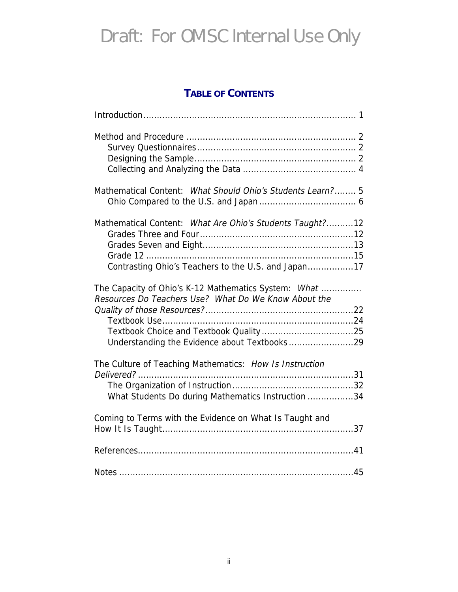#### **TABLE OF CONTENTS**

| Mathematical Content: What Should Ohio's Students Learn? 5                                                      |
|-----------------------------------------------------------------------------------------------------------------|
| Mathematical Content: What Are Ohio's Students Taught?12<br>Contrasting Ohio's Teachers to the U.S. and Japan17 |
| The Capacity of Ohio's K-12 Mathematics System: What<br>Resources Do Teachers Use? What Do We Know About the    |
| The Culture of Teaching Mathematics: How Is Instruction<br>What Students Do during Mathematics Instruction 34   |
| Coming to Terms with the Evidence on What Is Taught and                                                         |
|                                                                                                                 |
|                                                                                                                 |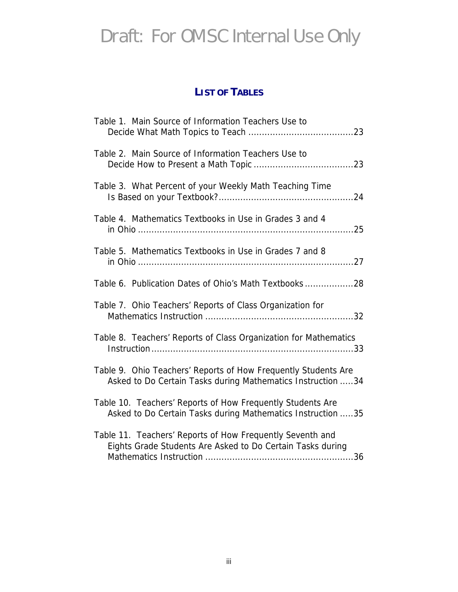#### **LIST OF TABLES**

|  | Table 1. Main Source of Information Teachers Use to                                                                           |  |
|--|-------------------------------------------------------------------------------------------------------------------------------|--|
|  | Table 2. Main Source of Information Teachers Use to                                                                           |  |
|  | Table 3. What Percent of your Weekly Math Teaching Time                                                                       |  |
|  | Table 4. Mathematics Textbooks in Use in Grades 3 and 4                                                                       |  |
|  | Table 5. Mathematics Textbooks in Use in Grades 7 and 8                                                                       |  |
|  | Table 6. Publication Dates of Ohio's Math Textbooks28                                                                         |  |
|  | Table 7. Ohio Teachers' Reports of Class Organization for                                                                     |  |
|  | Table 8. Teachers' Reports of Class Organization for Mathematics                                                              |  |
|  | Table 9. Ohio Teachers' Reports of How Frequently Students Are<br>Asked to Do Certain Tasks during Mathematics Instruction 34 |  |
|  | Table 10. Teachers' Reports of How Frequently Students Are<br>Asked to Do Certain Tasks during Mathematics Instruction 35     |  |
|  | Table 11. Teachers' Reports of How Frequently Seventh and<br>Eights Grade Students Are Asked to Do Certain Tasks during       |  |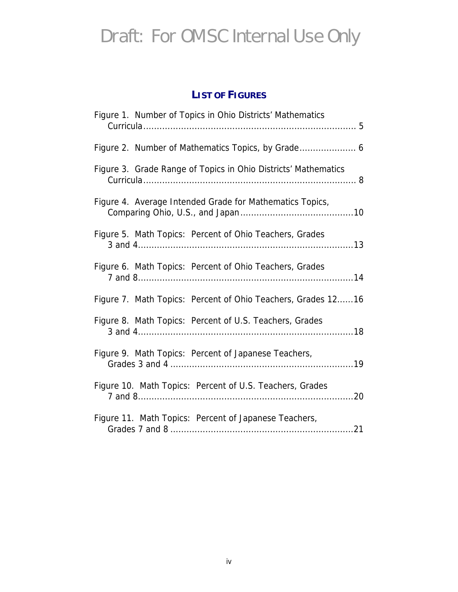#### **LIST OF FIGURES**

| Figure 1. Number of Topics in Ohio Districts' Mathematics      |
|----------------------------------------------------------------|
|                                                                |
| Figure 3. Grade Range of Topics in Ohio Districts' Mathematics |
| Figure 4. Average Intended Grade for Mathematics Topics,       |
| Figure 5. Math Topics: Percent of Ohio Teachers, Grades        |
| Figure 6. Math Topics: Percent of Ohio Teachers, Grades        |
| Figure 7. Math Topics: Percent of Ohio Teachers, Grades 1216   |
| Figure 8. Math Topics: Percent of U.S. Teachers, Grades        |
| Figure 9. Math Topics: Percent of Japanese Teachers,           |
| Figure 10. Math Topics: Percent of U.S. Teachers, Grades       |
| Figure 11. Math Topics: Percent of Japanese Teachers,          |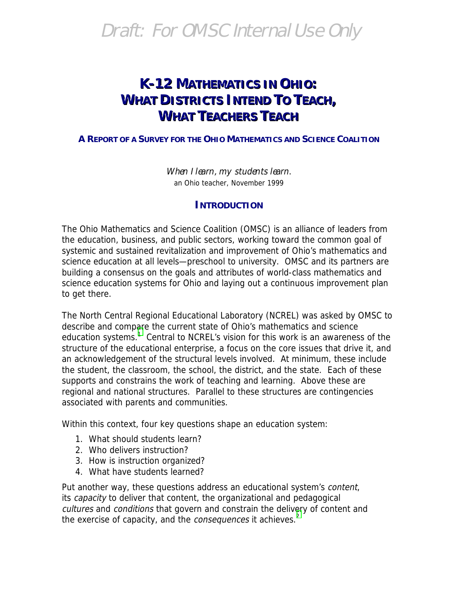#### **K-12 MATHEMATICS IN OHIO: WHAT DISTRICTS INTEND TO TEACH, WHAT TEACHERS TEACH**

#### **A REPORT OF A SURVEY FOR THE OHIO MATHEMATICS AND SCIENCE COALITION**

When I learn, my students learn. an Ohio teacher, November 1999

#### **INTRODUCTION**

The Ohio Mathematics and Science Coalition (OMSC) is an alliance of leaders from the education, business, and public sectors, working toward the common goal of systemic and sustained revitalization and improvement of Ohio's mathematics and science education at all levels—preschool to university. OMSC and its partners are building a consensus on the goals and attributes of world-class mathematics and science education systems for Ohio and laying out a continuous improvement plan to get there.

The North Central Regional Educational Laboratory (NCREL) was asked by OMSC to describe and comp[ar](#page-51-0)e the current state of Ohio's mathematics and science education systems.<sup>1</sup> Central to NCREL's vision for this work is an awareness of the structure of the educational enterprise, a focus on the core issues that drive it, and an acknowledgement of the structural levels involved. At minimum, these include the student, the classroom, the school, the district, and the state. Each of these supports and constrains the work of teaching and learning. Above these are regional and national structures. Parallel to these structures are contingencies associated with parents and communities.

Within this context, four key questions shape an education system:

- 1. What should students learn?
- 2. Who delivers instruction?
- 3. How is instruction organized?
- 4. What have students learned?

Put another way, these questions address an educational system's content, its capacity to deliver that content, the organizational and pedagogical cultures and conditions that govern and constrain the deliv[er](#page-51-0)y of content and the exercise of capacity, and the *consequences* it achieves.<sup>2</sup>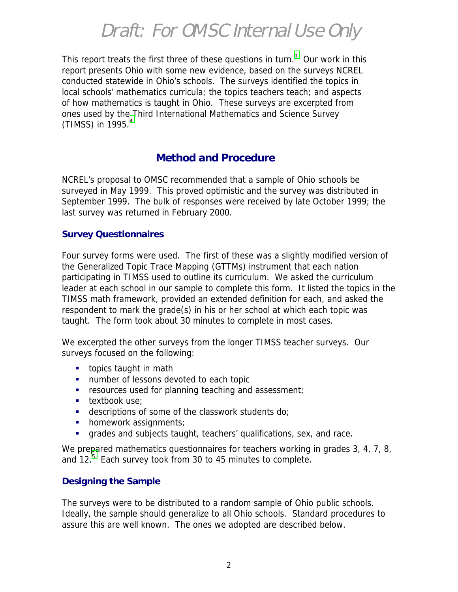This report treats the first three of these questions in turn.<sup>[3](#page-51-0)</sup> Our work in this report presents Ohio with some new evidence, based on the surveys NCREL conducted statewide in Ohio's schools. The surveys identified the topics in local schools' mathematics curricula; the topics teachers teach; and aspects of how mathematics is taught in Ohio. These surveys are excerpted from ones used by the [T](#page-51-0)hird International Mathematics and Science Survey (TIMSS) in 1995. $4$ 

#### **Method and Procedure**

NCREL's proposal to OMSC recommended that a sample of Ohio schools be surveyed in May 1999. This proved optimistic and the survey was distributed in September 1999. The bulk of responses were received by late October 1999; the last survey was returned in February 2000.

#### **Survey Questionnaires**

Four survey forms were used. The first of these was a slightly modified version of the Generalized Topic Trace Mapping (GTTMs) instrument that each nation participating in TIMSS used to outline its curriculum. We asked the curriculum leader at each school in our sample to complete this form. It listed the topics in the TIMSS math framework, provided an extended definition for each, and asked the respondent to mark the grade(s) in his or her school at which each topic was taught. The form took about 30 minutes to complete in most cases.

We excerpted the other surveys from the longer TIMSS teacher surveys. Our surveys focused on the following:

- $\blacksquare$  topics taught in math
- **"** number of lessons devoted to each topic
- $\blacksquare$  resources used for planning teaching and assessment;
- **textbook use;**
- " descriptions of some of the classwork students do;
- **•** homework assignments;
- **"** grades and subjects taught, teachers' qualifications, sex, and race.

We prepared mathematics questionnaires for teachers working in grades 3, 4, 7, 8, and  $12<sup>5</sup>$  $12<sup>5</sup>$  $12<sup>5</sup>$  Each survey took from 30 to 45 minutes to complete.

#### **Designing the Sample**

The surveys were to be distributed to a random sample of Ohio public schools. Ideally, the sample should generalize to all Ohio schools. Standard procedures to assure this are well known. The ones we adopted are described below.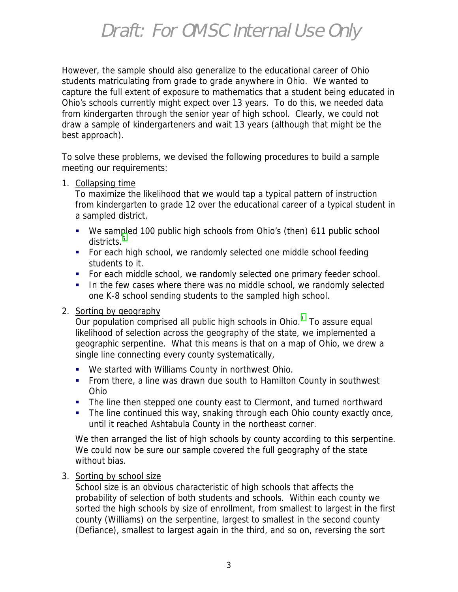However, the sample should also generalize to the educational career of Ohio students matriculating from grade to grade anywhere in Ohio. We wanted to capture the full extent of exposure to mathematics that a student being educated in Ohio's schools currently might expect over 13 years. To do this, we needed data from kindergarten through the senior year of high school. Clearly, we could not draw a sample of kindergarteners and wait 13 years (although that might be the best approach).

To solve these problems, we devised the following procedures to build a sample meeting our requirements:

#### 1. Collapsing time

To maximize the likelihood that we would tap a typical pattern of instruction from kindergarten to grade 12 over the educational career of a typical student in a sampled district,

- !"We sampled 100 public high schools from Ohio's (then) 611 public school districts.<sup>[6](#page-51-0)</sup>
- For each high school, we randomly selected one middle school feeding students to it.
- " For each middle school, we randomly selected one primary feeder school.
- **.** In the few cases where there was no middle school, we randomly selected one K-8 school sending students to the sampled high school.

#### 2. Sorting by geography

Our population comprised all public high schools in Ohio. $<sup>7</sup>$  $<sup>7</sup>$  $<sup>7</sup>$  To assure equal</sup> likelihood of selection across the geography of the state, we implemented a geographic serpentine. What this means is that on a map of Ohio, we drew a single line connecting every county systematically,

- . We started with Williams County in northwest Ohio.
- From there, a line was drawn due south to Hamilton County in southwest Ohio
- The line then stepped one county east to Clermont, and turned northward
- The line continued this way, snaking through each Ohio county exactly once, until it reached Ashtabula County in the northeast corner.

We then arranged the list of high schools by county according to this serpentine. We could now be sure our sample covered the full geography of the state without bias.

#### 3. Sorting by school size

School size is an obvious characteristic of high schools that affects the probability of selection of both students and schools. Within each county we sorted the high schools by size of enrollment, from smallest to largest in the first county (Williams) on the serpentine, largest to smallest in the second county (Defiance), smallest to largest again in the third, and so on, reversing the sort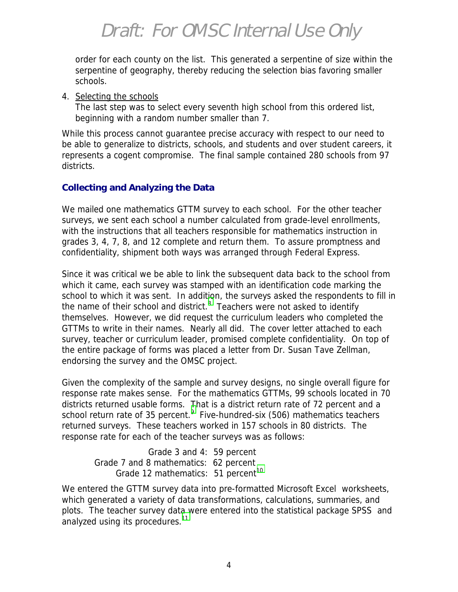order for each county on the list. This generated a serpentine of size within the serpentine of geography, thereby reducing the selection bias favoring smaller schools.

4. Selecting the schools

The last step was to select every seventh high school from this ordered list, beginning with a random number smaller than 7.

While this process cannot guarantee precise accuracy with respect to our need to be able to generalize to districts, schools, and students and over student careers, it represents a cogent compromise. The final sample contained 280 schools from 97 districts.

#### **Collecting and Analyzing the Data**

We mailed one mathematics GTTM survey to each school. For the other teacher surveys, we sent each school a number calculated from grade-level enrollments, with the instructions that all teachers responsible for mathematics instruction in grades 3, 4, 7, 8, and 12 complete and return them. To assure promptness and confidentiality, shipment both ways was arranged through Federal Express.

Since it was critical we be able to link the subsequent data back to the school from which it came, each survey was stamped with an identification code marking the school to which it was sent. In addit[io](#page-51-0)n, the surveys asked the respondents to fill in the name of their school and district. $8$  Teachers were not asked to identify themselves. However, we did request the curriculum leaders who completed the GTTMs to write in their names. Nearly all did. The cover letter attached to each survey, teacher or curriculum leader, promised complete confidentiality. On top of the entire package of forms was placed a letter from Dr. Susan Tave Zellman, endorsing the survey and the OMSC project.

Given the complexity of the sample and survey designs, no single overall figure for response rate makes sense. For the mathematics GTTMs, 99 schools located in 70 districts returned usable forms. [T](#page-51-0)hat is a district return rate of 72 percent and a school return rate of 35 percent.<sup>9</sup> Five-hundred-six (506) mathematics teachers returned surveys. These teachers worked in 157 schools in 80 districts. The response rate for each of the teacher surveys was as follows:

 Grade 3 and 4: 59 percent Grade 7 and 8 mathematics: 62 percent Grade 12 mathematics:  $51$  percent<sup>[10](#page-51-0)</sup>

We entered the GTTM survey data into pre-formatted Microsoft Excel<sup>®</sup> worksheets, which generated a variety of data transformations, calculations, summaries, and plots. The teacher survey data were entered into the statistical package SPSS<sup>®</sup> and analyzed using its procedures.<sup>[11](#page-51-0)</sup>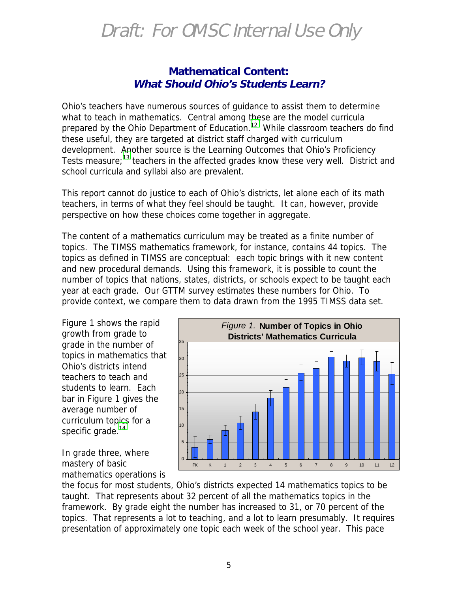#### **Mathematical Content: What Should Ohio's Students Learn?**

Ohio's teachers have numerous sources of guidance to assist them to determine what to teach in mathematics. Central among these are the model curricula prepared by the Ohio Department of Education.<sup>12</sup> While classroom teachers do find these useful, they are targeted at district staff charged with curriculum development. Another source is the Learning Outcomes that Ohio's Proficiency Tests measure;<sup>13</sup> teachers in the affected grades know these very well. District and school curricula and syllabi also are prevalent.

This report cannot do justice to each of Ohio's districts, let alone each of its math teachers, in terms of what they feel should be taught. It can, however, provide perspective on how these choices come together in aggregate.

The content of a mathematics curriculum may be treated as a finite number of topics. The TIMSS mathematics framework, for instance, contains 44 topics. The topics as defined in TIMSS are conceptual: each topic brings with it new content and new procedural demands. Using this framework, it is possible to count the number of topics that nations, states, districts, or schools expect to be taught each year at each grade. Our GTTM survey estimates these numbers for Ohio. To provide context, we compare them to data drawn from the 1995 TIMSS data set.

Figure 1 shows the rapid growth from grade to grade in the number of topics in mathematics that Ohio's districts intend teachers to teach and students to learn. Each bar in Figure 1 gives the average number of curriculum topics for a specific grade. $14$ 

In grade three, where mastery of basic mathematics operations is



the focus for most students, Ohio's districts expected 14 mathematics topics to be taught. That represents about 32 percent of all the mathematics topics in the framework. By grade eight the number has increased to 31, or 70 percent of the topics. That represents a lot to teaching, and a lot to learn presumably. It requires presentation of approximately one topic each week of the school year. This pace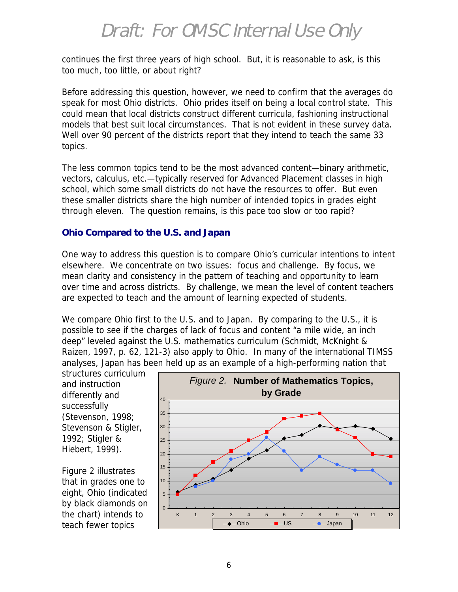continues the first three years of high school. But, it is reasonable to ask, is this too much, too little, or about right?

Before addressing this question, however, we need to confirm that the averages do speak for most Ohio districts. Ohio prides itself on being a local control state. This could mean that local districts construct different curricula, fashioning instructional models that best suit local circumstances. That is not evident in these survey data. Well over 90 percent of the districts report that they intend to teach the same 33 topics.

The less common topics tend to be the most advanced content—binary arithmetic, vectors, calculus, etc.—typically reserved for Advanced Placement classes in high school, which some small districts do not have the resources to offer. But even these smaller districts share the high number of intended topics in grades eight through eleven. The question remains, is this pace too slow or too rapid?

#### **Ohio Compared to the U.S. and Japan**

One way to address this question is to compare Ohio's curricular intentions to intent elsewhere. We concentrate on two issues: focus and challenge. By focus, we mean clarity and consistency in the pattern of teaching and opportunity to learn over time and across districts. By challenge, we mean the level of content teachers are expected to teach and the amount of learning expected of students.

We compare Ohio first to the U.S. and to Japan. By comparing to the U.S., it is possible to see if the charges of lack of focus and content "a mile wide, an inch deep" leveled against the U.S. mathematics curriculum (Schmidt, McKnight & Raizen, 1997, p. 62, 121-3) also apply to Ohio. In many of the international TIMSS analyses, Japan has been held up as an example of a high-performing nation that

structures curriculum and instruction differently and successfully (Stevenson, 1998; Stevenson & Stigler, 1992; Stigler & Hiebert, 1999).

Figure 2 illustrates that in grades one to eight, Ohio (indicated by black diamonds on the chart) intends to teach fewer topics

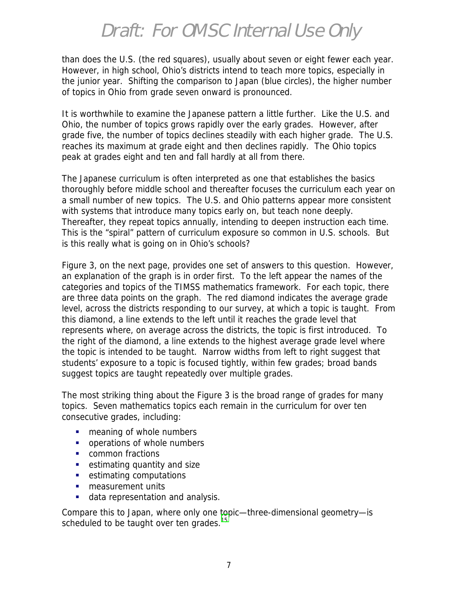than does the U.S. (the red squares), usually about seven or eight fewer each year. However, in high school, Ohio's districts intend to teach more topics, especially in the junior year. Shifting the comparison to Japan (blue circles), the higher number of topics in Ohio from grade seven onward is pronounced.

It is worthwhile to examine the Japanese pattern a little further. Like the U.S. and Ohio, the number of topics grows rapidly over the early grades. However, after grade five, the number of topics declines steadily with each higher grade. The U.S. reaches its maximum at grade eight and then declines rapidly. The Ohio topics peak at grades eight and ten and fall hardly at all from there.

The Japanese curriculum is often interpreted as one that establishes the basics thoroughly before middle school and thereafter focuses the curriculum each year on a small number of new topics. The U.S. and Ohio patterns appear more consistent with systems that introduce many topics early on, but teach none deeply. Thereafter, they repeat topics annually, intending to deepen instruction each time. This is the "spiral" pattern of curriculum exposure so common in U.S. schools. But is this really what is going on in Ohio's schools?

Figure 3, on the next page, provides one set of answers to this question. However, an explanation of the graph is in order first. To the left appear the names of the categories and topics of the TIMSS mathematics framework. For each topic, there are three data points on the graph. The red diamond indicates the average grade level, across the districts responding to our survey, at which a topic is taught. From this diamond, a line extends to the left until it reaches the grade level that represents where, on average across the districts, the topic is first introduced. To the right of the diamond, a line extends to the highest average grade level where the topic is intended to be taught. Narrow widths from left to right suggest that students' exposure to a topic is focused tightly, within few grades; broad bands suggest topics are taught repeatedly over multiple grades.

The most striking thing about the Figure 3 is the broad range of grades for many topics. Seven mathematics topics each remain in the curriculum for over ten consecutive grades, including:

- **"** meaning of whole numbers
- **.** operations of whole numbers
- **•** common fractions
- **EXECUTE:** estimating quantity and size
- **EXECUTE:** estimating computations
- **"** measurement units
- data representation and analysis.

Compare this to Japan, where only one topic—three-dimensional geometry—is scheduled to be taught over ten grades.<sup>[15](#page-51-0)</sup>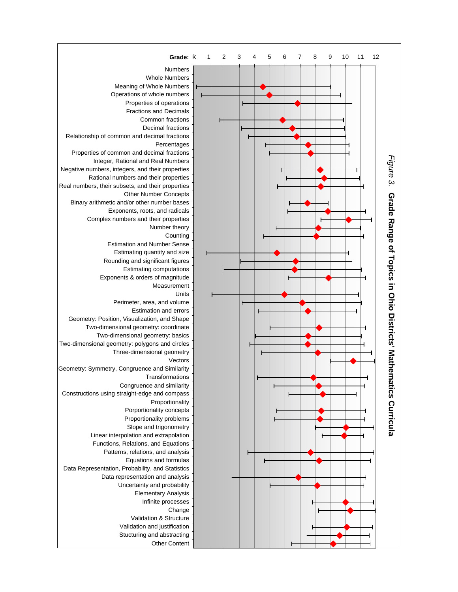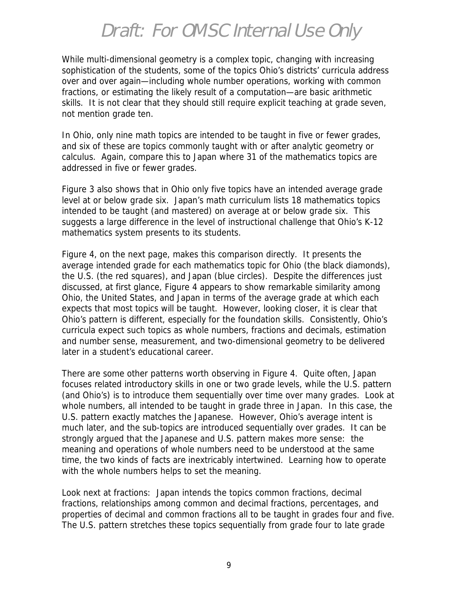While multi-dimensional geometry is a complex topic, changing with increasing sophistication of the students, some of the topics Ohio's districts' curricula address over and over again—including whole number operations, working with common fractions, or estimating the likely result of a computation—are basic arithmetic skills. It is not clear that they should still require explicit teaching at grade seven, not mention grade ten.

In Ohio, only nine math topics are intended to be taught in five or fewer grades, and six of these are topics commonly taught with or after analytic geometry or calculus. Again, compare this to Japan where 31 of the mathematics topics are addressed in five or fewer grades.

Figure 3 also shows that in Ohio only five topics have an intended average grade level at or below grade six. Japan's math curriculum lists 18 mathematics topics intended to be taught (and mastered) on average at or below grade six. This suggests a large difference in the level of instructional challenge that Ohio's K-12 mathematics system presents to its students.

Figure 4, on the next page, makes this comparison directly. It presents the average intended grade for each mathematics topic for Ohio (the black diamonds), the U.S. (the red squares), and Japan (blue circles). Despite the differences just discussed, at first glance, Figure 4 appears to show remarkable similarity among Ohio, the United States, and Japan in terms of the average grade at which each expects that most topics will be taught. However, looking closer, it is clear that Ohio's pattern is different, especially for the foundation skills. Consistently, Ohio's curricula expect such topics as whole numbers, fractions and decimals, estimation and number sense, measurement, and two-dimensional geometry to be delivered later in a student's educational career.

There are some other patterns worth observing in Figure 4. Quite often, Japan focuses related introductory skills in one or two grade levels, while the U.S. pattern (and Ohio's) is to introduce them sequentially over time over many grades. Look at whole numbers, all intended to be taught in grade three in Japan. In this case, the U.S. pattern exactly matches the Japanese. However, Ohio's average intent is much later, and the sub-topics are introduced sequentially over grades. It can be strongly argued that the Japanese and U.S. pattern makes more sense: the meaning and operations of whole numbers need to be understood at the same time, the two kinds of facts are inextricably intertwined. Learning how to operate with the whole numbers helps to set the meaning.

Look next at fractions: Japan intends the topics common fractions, decimal fractions, relationships among common and decimal fractions, percentages, and properties of decimal and common fractions all to be taught in grades four and five. The U.S. pattern stretches these topics sequentially from grade four to late grade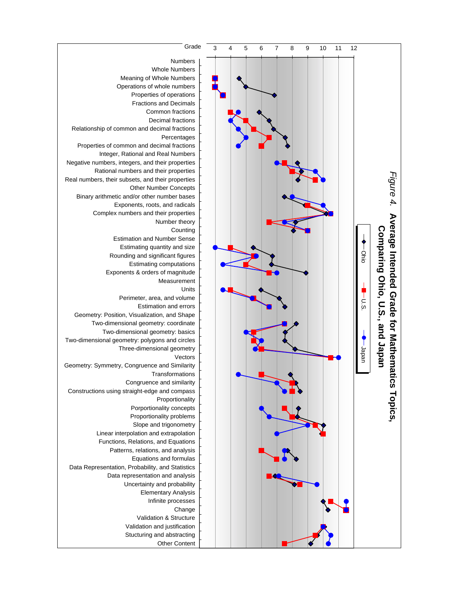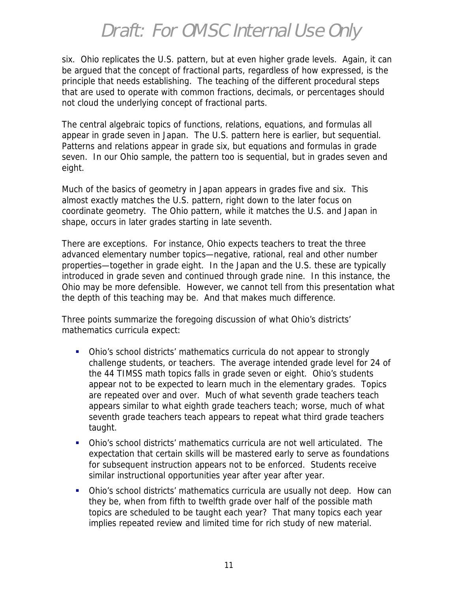six. Ohio replicates the U.S. pattern, but at even higher grade levels. Again, it can be argued that the concept of fractional parts, regardless of how expressed, is the principle that needs establishing. The teaching of the different procedural steps that are used to operate with common fractions, decimals, or percentages should not cloud the underlying concept of fractional parts.

The central algebraic topics of functions, relations, equations, and formulas all appear in grade seven in Japan. The U.S. pattern here is earlier, but sequential. Patterns and relations appear in grade six, but equations and formulas in grade seven. In our Ohio sample, the pattern too is sequential, but in grades seven and eight.

Much of the basics of geometry in Japan appears in grades five and six. This almost exactly matches the U.S. pattern, right down to the later focus on coordinate geometry. The Ohio pattern, while it matches the U.S. and Japan in shape, occurs in later grades starting in late seventh.

There are exceptions. For instance, Ohio expects teachers to treat the three advanced elementary number topics—negative, rational, real and other number properties—together in grade eight. In the Japan and the U.S. these are typically introduced in grade seven and continued through grade nine. In this instance, the Ohio may be more defensible. However, we cannot tell from this presentation what the depth of this teaching may be. And that makes much difference.

Three points summarize the foregoing discussion of what Ohio's districts' mathematics curricula expect:

- !"Ohio's school districts' mathematics curricula do not appear to strongly challenge students, or teachers. The average intended grade level for 24 of the 44 TIMSS math topics falls in grade seven or eight. Ohio's students appear not to be expected to learn much in the elementary grades. Topics are repeated over and over. Much of what seventh grade teachers teach appears similar to what eighth grade teachers teach; worse, much of what seventh grade teachers teach appears to repeat what third grade teachers taught.
- !"Ohio's school districts' mathematics curricula are not well articulated. The expectation that certain skills will be mastered early to serve as foundations for subsequent instruction appears not to be enforced. Students receive similar instructional opportunities year after year after year.
- !"Ohio's school districts' mathematics curricula are usually not deep. How can they be, when from fifth to twelfth grade over half of the possible math topics are scheduled to be taught each year? That many topics each year implies repeated review and limited time for rich study of new material.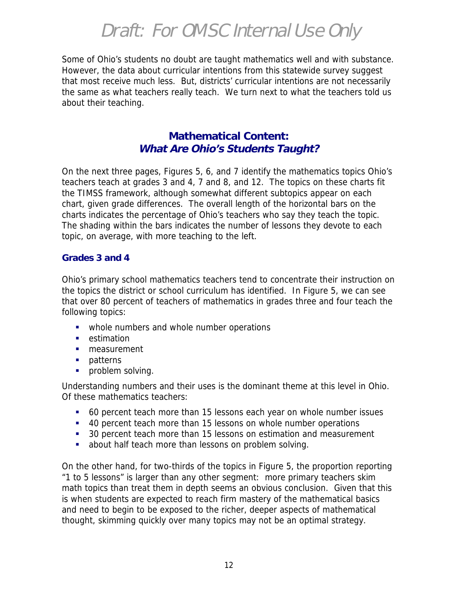Some of Ohio's students no doubt are taught mathematics well and with substance. However, the data about curricular intentions from this statewide survey suggest that most receive much less. But, districts' curricular intentions are not necessarily the same as what teachers really teach. We turn next to what the teachers told us about their teaching.

#### **Mathematical Content: What Are Ohio's Students Taught?**

On the next three pages, Figures 5, 6, and 7 identify the mathematics topics Ohio's teachers teach at grades 3 and 4, 7 and 8, and 12. The topics on these charts fit the TIMSS framework, although somewhat different subtopics appear on each chart, given grade differences. The overall length of the horizontal bars on the charts indicates the percentage of Ohio's teachers who say they teach the topic. The shading within the bars indicates the number of lessons they devote to each topic, on average, with more teaching to the left.

#### **Grades 3 and 4**

Ohio's primary school mathematics teachers tend to concentrate their instruction on the topics the district or school curriculum has identified. In Figure 5, we can see that over 80 percent of teachers of mathematics in grades three and four teach the following topics:

- whole numbers and whole number operations
- **E** estimation
- **"** measurement
- **patterns**
- **•** problem solving.

Understanding numbers and their uses is the dominant theme at this level in Ohio. Of these mathematics teachers:

- !"60 percent teach more than 15 lessons each year on whole number issues
- !"40 percent teach more than 15 lessons on whole number operations
- 30 percent teach more than 15 lessons on estimation and measurement
- **.** about half teach more than lessons on problem solving.

On the other hand, for two-thirds of the topics in Figure 5, the proportion reporting "1 to 5 lessons" is larger than any other segment: more primary teachers skim math topics than treat them in depth seems an obvious conclusion. Given that this is when students are expected to reach firm mastery of the mathematical basics and need to begin to be exposed to the richer, deeper aspects of mathematical thought, skimming quickly over many topics may not be an optimal strategy.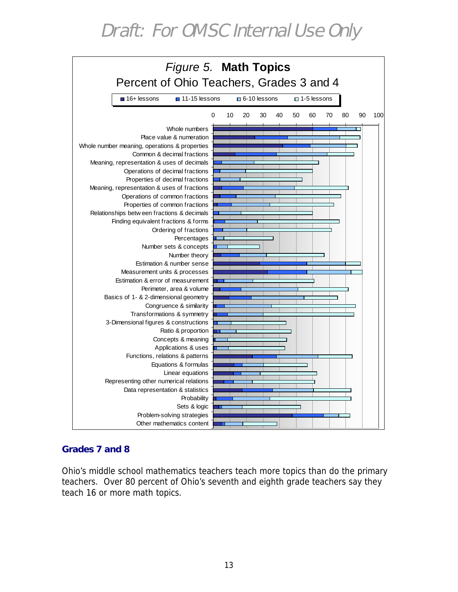

#### **Grades 7 and 8**

Ohio's middle school mathematics teachers teach more topics than do the primary teachers. Over 80 percent of Ohio's seventh and eighth grade teachers say they teach 16 or more math topics.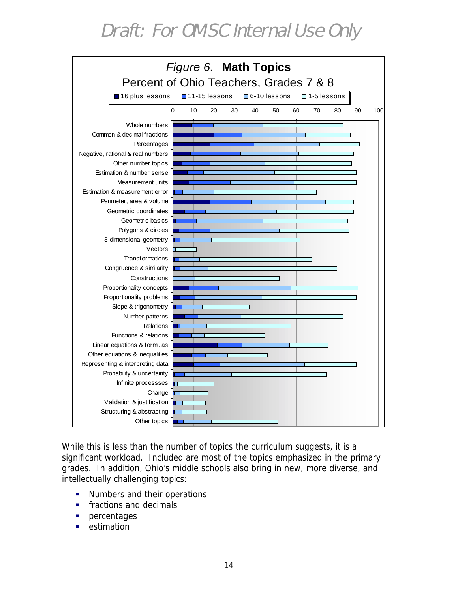

While this is less than the number of topics the curriculum suggests, it is a significant workload. Included are most of the topics emphasized in the primary grades. In addition, Ohio's middle schools also bring in new, more diverse, and intellectually challenging topics:

- **.** Numbers and their operations
- fractions and decimals
- percentages
- estimation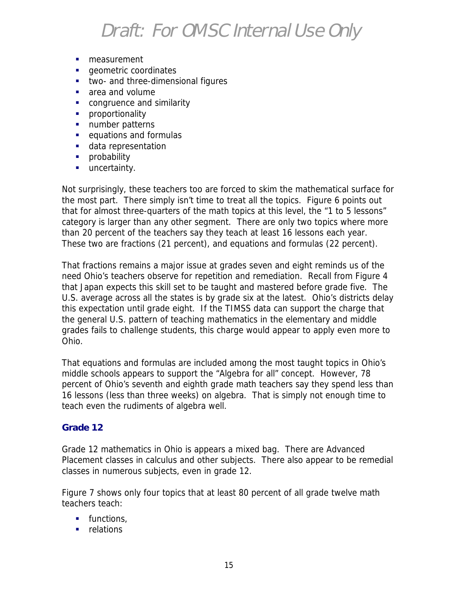- **·** measurement
- geometric coordinates
- **"** two- and three-dimensional figures
- area and volume
- **•** congruence and similarity
- **·** proportionality
- **.** number patterns
- **.** equations and formulas
- **data representation**
- **•** probability
- **uncertainty.**

Not surprisingly, these teachers too are forced to skim the mathematical surface for the most part. There simply isn't time to treat all the topics. Figure 6 points out that for almost three-quarters of the math topics at this level, the "1 to 5 lessons" category is larger than any other segment. There are only two topics where more than 20 percent of the teachers say they teach at least 16 lessons each year. These two are fractions (21 percent), and equations and formulas (22 percent).

That fractions remains a major issue at grades seven and eight reminds us of the need Ohio's teachers observe for repetition and remediation. Recall from Figure 4 that Japan expects this skill set to be taught and mastered before grade five. The U.S. average across all the states is by grade six at the latest. Ohio's districts delay this expectation until grade eight. If the TIMSS data can support the charge that the general U.S. pattern of teaching mathematics in the elementary and middle grades fails to challenge students, this charge would appear to apply even more to Ohio.

That equations and formulas are included among the most taught topics in Ohio's middle schools appears to support the "Algebra for all" concept. However, 78 percent of Ohio's seventh and eighth grade math teachers say they spend less than 16 lessons (less than three weeks) on algebra. That is simply not enough time to teach even the rudiments of algebra well.

#### **Grade 12**

Grade 12 mathematics in Ohio is appears a mixed bag. There are Advanced Placement classes in calculus and other subjects. There also appear to be remedial classes in numerous subjects, even in grade 12.

Figure 7 shows only four topics that at least 80 percent of all grade twelve math teachers teach:

- **"** functions,
- **•** relations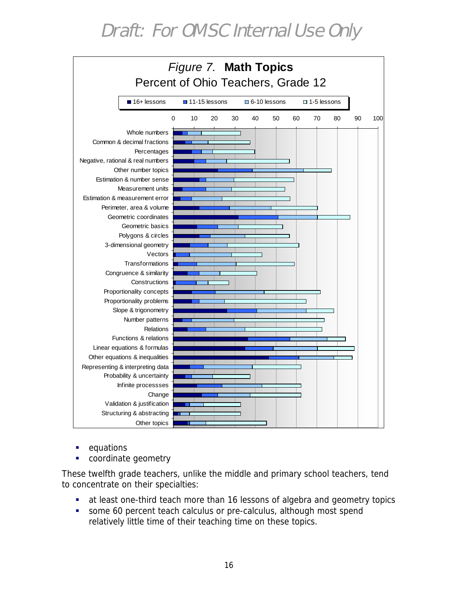

- **equations**
- coordinate geometry

These twelfth grade teachers, unlike the middle and primary school teachers, tend to concentrate on their specialties:

- **.** at least one-third teach more than 16 lessons of algebra and geometry topics
- **EXEDENT Some 60 percent teach calculus or pre-calculus, although most spend** relatively little time of their teaching time on these topics.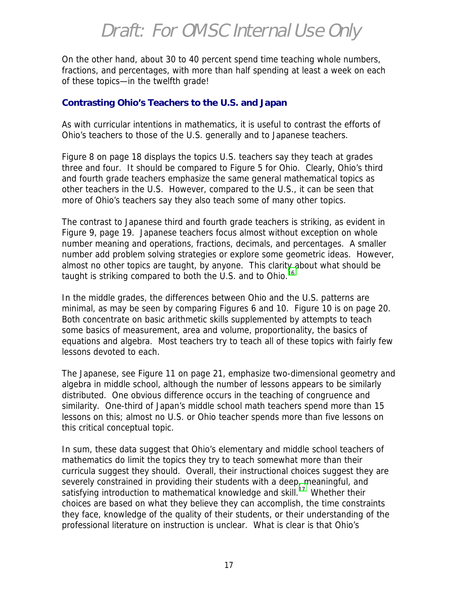On the other hand, about 30 to 40 percent spend time teaching whole numbers, fractions, and percentages, with more than half spending at least a week on each of these topics—in the twelfth grade!

#### **Contrasting Ohio's Teachers to the U.S. and Japan**

As with curricular intentions in mathematics, it is useful to contrast the efforts of Ohio's teachers to those of the U.S. generally and to Japanese teachers.

Figure 8 on page 18 displays the topics U.S. teachers say they teach at grades three and four. It should be compared to Figure 5 for Ohio. Clearly, Ohio's third and fourth grade teachers emphasize the same general mathematical topics as other teachers in the U.S. However, compared to the U.S., it can be seen that more of Ohio's teachers say they also teach some of many other topics.

The contrast to Japanese third and fourth grade teachers is striking, as evident in Figure 9, page 19. Japanese teachers focus almost without exception on whole number meaning and operations, fractions, decimals, and percentages. A smaller number add problem solving strategies or explore some geometric ideas. However, almost no other topics are taught, by anyone. This clarity about what should be taught is striking compared to both the U.S. and to Ohio.<sup>[16](#page-51-0)</sup>

In the middle grades, the differences between Ohio and the U.S. patterns are minimal, as may be seen by comparing Figures 6 and 10. Figure 10 is on page 20. Both concentrate on basic arithmetic skills supplemented by attempts to teach some basics of measurement, area and volume, proportionality, the basics of equations and algebra. Most teachers try to teach all of these topics with fairly few lessons devoted to each.

The Japanese, see Figure 11 on page 21, emphasize two-dimensional geometry and algebra in middle school, although the number of lessons appears to be similarly distributed. One obvious difference occurs in the teaching of congruence and similarity. One-third of Japan's middle school math teachers spend more than 15 lessons on this; almost no U.S. or Ohio teacher spends more than five lessons on this critical conceptual topic.

In sum, these data suggest that Ohio's elementary and middle school teachers of mathematics do limit the topics they try to teach somewhat more than their curricula suggest they should. Overall, their instructional choices suggest they are severely constrained in providing their students with a deep, meaningful, and satisfying introduction to mathematical knowledge and skill.<sup>17</sup> Whether their choices are based on what they believe they can accomplish, the time constraints they face, knowledge of the quality of their students, or their understanding of the professional literature on instruction is unclear. What is clear is that Ohio's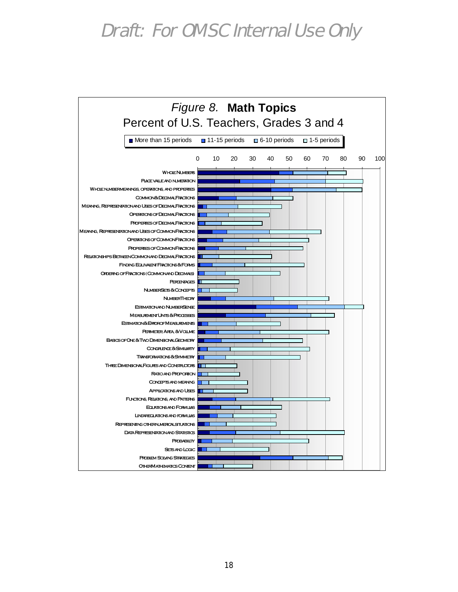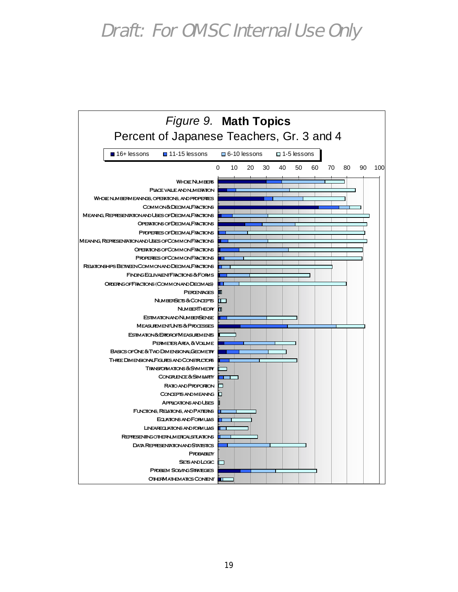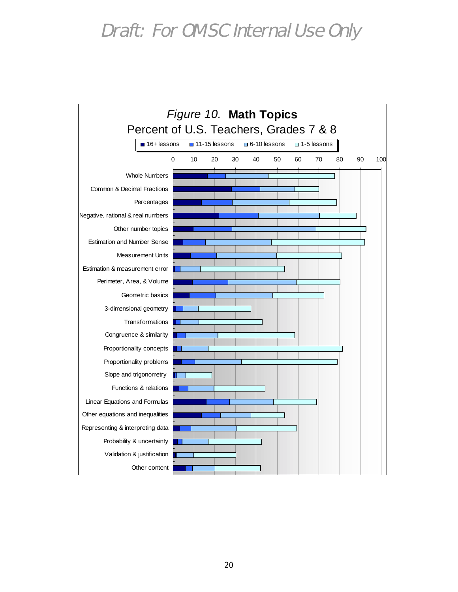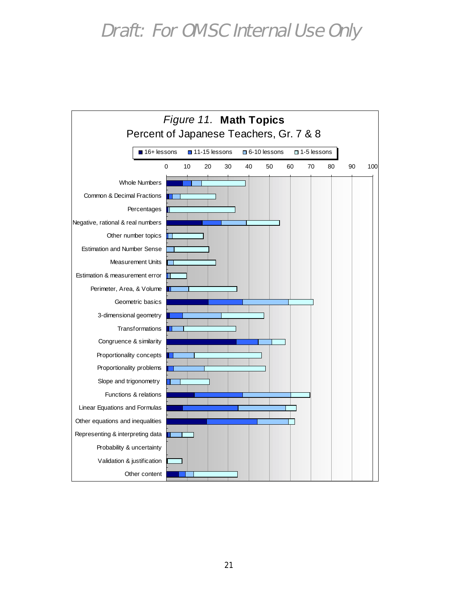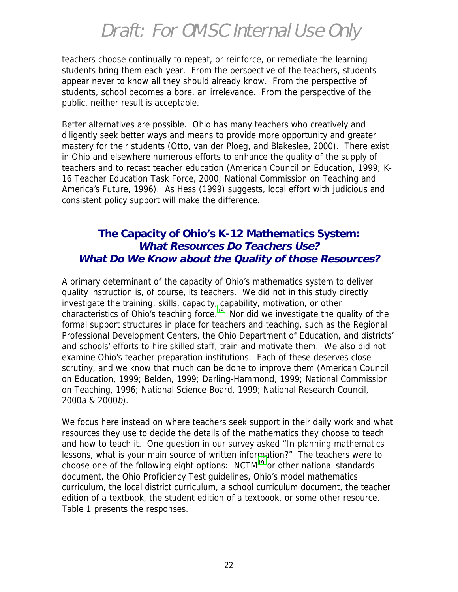teachers choose continually to repeat, or reinforce, or remediate the learning students bring them each year. From the perspective of the teachers, students appear never to know all they should already know. From the perspective of students, school becomes a bore, an irrelevance. From the perspective of the public, neither result is acceptable.

Better alternatives are possible. Ohio has many teachers who creatively and diligently seek better ways and means to provide more opportunity and greater mastery for their students (Otto, van der Ploeg, and Blakeslee, 2000). There exist in Ohio and elsewhere numerous efforts to enhance the quality of the supply of teachers and to recast teacher education (American Council on Education, 1999; K-16 Teacher Education Task Force, 2000; National Commission on Teaching and America's Future, 1996). As Hess (1999) suggests, local effort with judicious and consistent policy support will make the difference.

#### **The Capacity of Ohio's K-12 Mathematics System: What Resources Do Teachers Use? What Do We Know about the Quality of those Resources?**

A primary determinant of the capacity of Ohio's mathematics system to deliver quality instruction is, of course, its teachers. We did not in this study directly investigate the training, skills, capacity, capability, motivation, or other characteristics of Ohio's teaching force.<sup>18</sup> Nor did we investigate the quality of the formal support structures in place for teachers and teaching, such as the Regional Professional Development Centers, the Ohio Department of Education, and districts' and schools' efforts to hire skilled staff, train and motivate them. We also did not examine Ohio's teacher preparation institutions. Each of these deserves close scrutiny, and we know that much can be done to improve them (American Council on Education, 1999; Belden, 1999; Darling-Hammond, 1999; National Commission on Teaching, 1996; National Science Board, 1999; National Research Council, 2000a & 2000b).

We focus here instead on where teachers seek support in their daily work and what resources they use to decide the details of the mathematics they choose to teach and how to teach it. One question in our survey asked "In planning mathematics lessons, what is your main source of written information?" The teachers were to choose one of the following eight options:  $NCTM<sup>19</sup>$  or other national standards document, the Ohio Proficiency Test guidelines, Ohio's model mathematics curriculum, the local district curriculum, a school curriculum document, the teacher edition of a textbook, the student edition of a textbook, or some other resource. Table 1 presents the responses.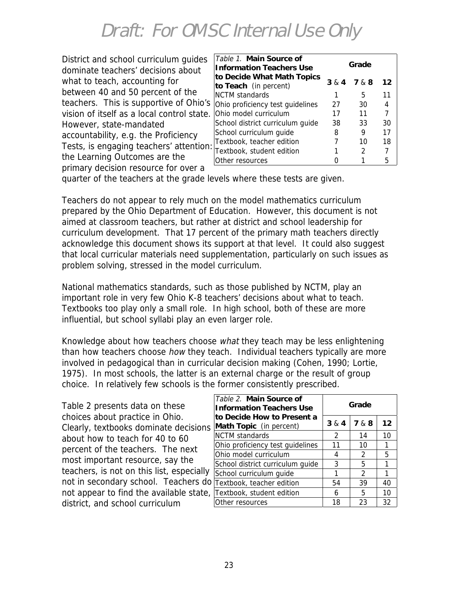| District and school curriculum guides      |  |
|--------------------------------------------|--|
| dominate teachers' decisions about         |  |
| what to teach, accounting for              |  |
| between 40 and 50 percent of the           |  |
| teachers. This is supportive of Ohio's     |  |
| vision of itself as a local control state. |  |
| However, state-mandated                    |  |
| accountability, e.g. the Proficiency       |  |
| Tests, is engaging teachers' attention:    |  |
| the Learning Outcomes are the              |  |
| primary decision resource for over a       |  |

| Table 1. Main Source of<br><b>Information Teachers Use</b> | Grade |               |                   |  |  |
|------------------------------------------------------------|-------|---------------|-------------------|--|--|
| to Decide What Math Topics<br>to Teach (in percent)        | 3 & 4 | 7 & 8         | $12 \overline{ }$ |  |  |
| <b>NCTM</b> standards                                      |       | 5             | 11                |  |  |
| Ohio proficiency test guidelines                           | 27    | 30            | 4                 |  |  |
| Ohio model curriculum                                      | 17    | 11            | 7                 |  |  |
| School district curriculum guide                           | 38    | 33            | 30                |  |  |
| School curriculum guide                                    | 8     | 9             | 17                |  |  |
| Textbook, teacher edition                                  |       | 10            | 18                |  |  |
| Textbook, student edition                                  |       | $\mathcal{P}$ |                   |  |  |
| Other resources                                            |       |               | 5                 |  |  |

quarter of the teachers at the grade levels where these tests are given.

Teachers do not appear to rely much on the model mathematics curriculum prepared by the Ohio Department of Education. However, this document is not aimed at classroom teachers, but rather at district and school leadership for curriculum development. That 17 percent of the primary math teachers directly acknowledge this document shows its support at that level. It could also suggest that local curricular materials need supplementation, particularly on such issues as problem solving, stressed in the model curriculum.

National mathematics standards, such as those published by NCTM, play an important role in very few Ohio K-8 teachers' decisions about what to teach. Textbooks too play only a small role. In high school, both of these are more influential, but school syllabi play an even larger role.

Knowledge about how teachers choose what they teach may be less enlightening than how teachers choose *how* they teach. Individual teachers typically are more involved in pedagogical than in curricular decision making (Cohen, 1990; Lortie, 1975). In most schools, the latter is an external charge or the result of group choice. In relatively few schools is the former consistently prescribed.

| Table 2 presents data on these            |
|-------------------------------------------|
| choices about practice in Ohio.           |
| Clearly, textbooks dominate decisions     |
| about how to teach for 40 to 60           |
| percent of the teachers. The next         |
| most important resource, say the          |
| teachers, is not on this list, especially |
| not in secondary school. Teachers do      |
| not appear to find the available state,   |
| district, and school curriculum           |

| Table 2. Main Source of<br><b>Information Teachers Use</b> | Grade |               |    |  |  |
|------------------------------------------------------------|-------|---------------|----|--|--|
| to Decide How to Present a<br>Math Topic (in percent)      | 3 & 4 | 7 & 8         | 12 |  |  |
| <b>NCTM</b> standards                                      | 2     | 14            | 10 |  |  |
| Ohio proficiency test guidelines                           | 11    | 10            | 1  |  |  |
| Ohio model curriculum                                      | 4     | 2             | 5  |  |  |
| School district curriculum guide                           | 3     | 5             | 1  |  |  |
| School curriculum guide                                    |       | $\mathcal{P}$ |    |  |  |
| Textbook, teacher edition                                  | 54    | 39            | 40 |  |  |
| Textbook, student edition                                  | 6     | 5             | 10 |  |  |
| Other resources                                            | 18    | 23            | 32 |  |  |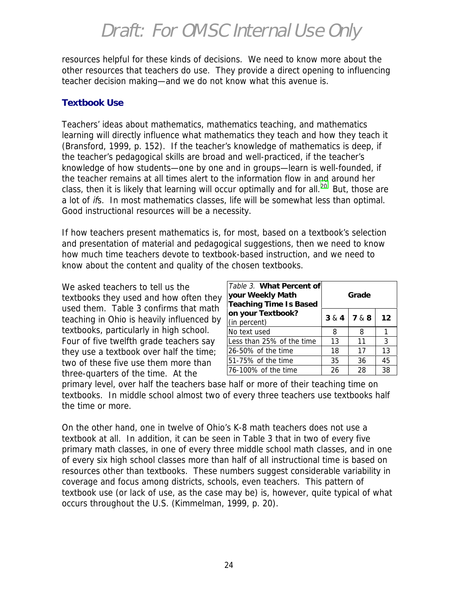resources helpful for these kinds of decisions. We need to know more about the other resources that teachers do use. They provide a direct opening to influencing teacher decision making—and we do not know what this avenue is.

#### **Textbook Use**

Teachers' ideas about mathematics, mathematics teaching, and mathematics learning will directly influence what mathematics they teach and how they teach it (Bransford, 1999, p. 152). If the teacher's knowledge of mathematics is deep, if the teacher's pedagogical skills are broad and well-practiced, if the teacher's knowledge of how students—one by one and in groups—learn is well-founded, if the teacher remains at all times alert to the information flow in and around her class, then it is likely that learning will occur optimally and for all.<sup>20</sup> But, those are a lot of ifs. In most mathematics classes, life will be somewhat less than optimal. Good instructional resources will be a necessity.

If how teachers present mathematics is, for most, based on a textbook's selection and presentation of material and pedagogical suggestions, then we need to know how much time teachers devote to textbook-based instruction, and we need to know about the content and quality of the chosen textbooks.

We asked teachers to tell us the textbooks they used and how often they used them. Table 3 confirms that math teaching in Ohio is heavily influenced by textbooks, particularly in high school. Four of five twelfth grade teachers say they use a textbook over half the time; two of these five use them more than three-quarters of the time. At the

| Table 3. What Percent of<br>your Weekly Math<br><b>Teaching Time Is Based</b> | Grade |       |    |  |  |
|-------------------------------------------------------------------------------|-------|-------|----|--|--|
| on your Textbook?<br>(in percent)                                             | 3 & 4 | 7 & 8 | 12 |  |  |
| No text used                                                                  | 8     | 8     |    |  |  |
| Less than 25% of the time                                                     | 13    | 11    | 3  |  |  |
| 26-50% of the time                                                            | 18    | 17    | 13 |  |  |
| 51-75% of the time                                                            | 35    | 36    | 45 |  |  |
| 76-100% of the time                                                           | 26    | 28    | 38 |  |  |

primary level, over half the teachers base half or more of their teaching time on textbooks. In middle school almost two of every three teachers use textbooks half the time or more.

On the other hand, one in twelve of Ohio's K-8 math teachers does not use a textbook at all. In addition, it can be seen in Table 3 that in two of every five primary math classes, in one of every three middle school math classes, and in one of every six high school classes more than half of all instructional time is based on resources other than textbooks. These numbers suggest considerable variability in coverage and focus among districts, schools, even teachers. This pattern of textbook use (or lack of use, as the case may be) is, however, quite typical of what occurs throughout the U.S. (Kimmelman, 1999, p. 20).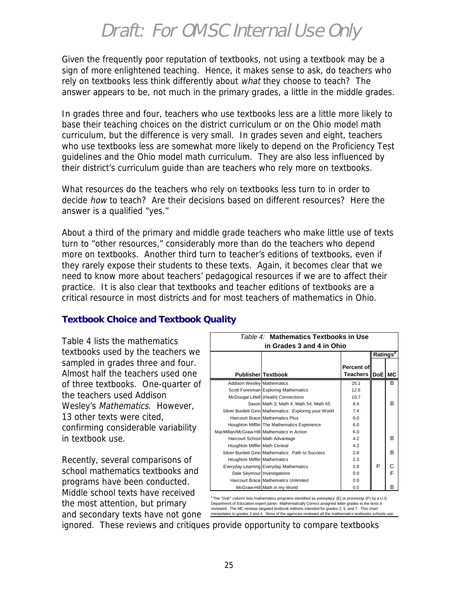Given the frequently poor reputation of textbooks, not using a textbook may be a sign of more enlightened teaching. Hence, it makes sense to ask, do teachers who rely on textbooks less think differently about what they choose to teach? The answer appears to be, not much in the primary grades, a little in the middle grades.

In grades three and four, teachers who use textbooks less are a little more likely to base their teaching choices on the district curriculum or on the Ohio model math curriculum, but the difference is very small. In grades seven and eight, teachers who use textbooks less are somewhat more likely to depend on the Proficiency Test guidelines and the Ohio model math curriculum. They are also less influenced by their district's curriculum guide than are teachers who rely more on textbooks.

What resources do the teachers who rely on textbooks less turn to in order to decide how to teach? Are their decisions based on different resources? Here the answer is a qualified "yes."

About a third of the primary and middle grade teachers who make little use of texts turn to "other resources," considerably more than do the teachers who depend more on textbooks. Another third turn to teacher's editions of textbooks, even if they rarely expose their students to these texts. Again, it becomes clear that we need to know more about teachers' pedagogical resources if we are to affect their practice. It is also clear that textbooks and teacher editions of textbooks are a critical resource in most districts and for most teachers of mathematics in Ohio.

#### **Textbook Choice and Textbook Quality**

Table 4 lists the mathematics textbooks used by the teachers we sampled in grades three and four. Almost half the teachers used one of three textbooks. One-quarter of the teachers used Addison Wesley's Mathematics. However, 13 other texts were cited, confirming considerable variability in textbook use.

Recently, several comparisons of school mathematics textbooks and programs have been conducted. Middle school texts have received the most attention, but primary and secondary texts have not gone

| Table 4: Mathematics Textbooks in Use       |                                                       |                     |   |   |  |  |
|---------------------------------------------|-------------------------------------------------------|---------------------|---|---|--|--|
| in Grades 3 and 4 in Ohio                   |                                                       |                     |   |   |  |  |
| Ratings <sup>®</sup>                        |                                                       |                     |   |   |  |  |
|                                             |                                                       | <b>Percent of</b>   |   |   |  |  |
|                                             | <b>Publisher Textbook</b>                             | Teachers   DoE   MC |   |   |  |  |
| <b>Addison Wesley Mathematics</b>           |                                                       | 25.1                |   | В |  |  |
|                                             | Scott Foresman Exploring Mathematics                  | 12.6                |   |   |  |  |
|                                             | McDougal Littell (Heath) Connections                  | 10.7                |   |   |  |  |
|                                             | Saxon Math 3; Math 4; Math 54; Math 65                | 8.4                 |   | в |  |  |
|                                             | Silver Burdett Ginn Mathematics: Exploring your World | 74                  |   |   |  |  |
|                                             | <b>Harcourt Brace Mathematics Plus</b>                | 6.0                 |   |   |  |  |
|                                             | Houghton Mifflin The Mathematics Experience           | 60                  |   |   |  |  |
| MacMillan/McGraw-Hill Mathematics in Action |                                                       | 6.0                 |   |   |  |  |
|                                             | Harcourt School Math Advantage                        | 42                  |   | B |  |  |
| Houghton Mifflin Math Central               |                                                       | 42                  |   |   |  |  |
|                                             | Silver Burdett Ginn Mathematics: Path to Success      | 2.8                 |   | в |  |  |
| Houghton Mifflin Mathematics                |                                                       | 2.3                 |   |   |  |  |
|                                             | Everyday Learning Everyday Mathematics                | 1.9                 | P |   |  |  |
| Dale Seymour Investigations                 |                                                       | 0.9                 |   | F |  |  |
|                                             | Harcourt Brace Mathematics Unlimited                  | 0.9                 |   |   |  |  |
|                                             | McGraw-Hill Math in my World                          | 0.5                 |   | в |  |  |

a The "DoE" column lists mathematics programs identified as *exemplary* (E) or *promising* (P) by a U.S. Department of Education expert panel. Mathematically Correct assigned letter grades to the texts it reviewed. The MC reviews targeted textbook editions intended for grades 2, 5, and 7. This chart interpolates to grades 3 and 4. None of the agencies reviewed all the mathematics textbooks schools use.

ignored. These reviews and critiques provide opportunity to compare textbooks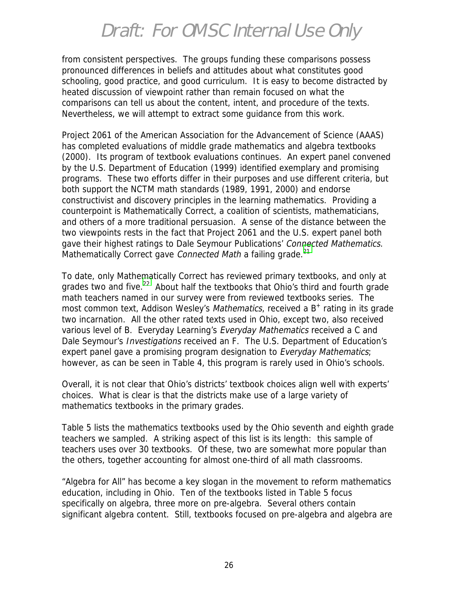from consistent perspectives. The groups funding these comparisons possess pronounced differences in beliefs and attitudes about what constitutes good schooling, good practice, and good curriculum. It is easy to become distracted by heated discussion of viewpoint rather than remain focused on what the comparisons can tell us about the content, intent, and procedure of the texts. Nevertheless, we will attempt to extract some guidance from this work.

Project 2061 of the American Association for the Advancement of Science (AAAS) has completed evaluations of middle grade mathematics and algebra textbooks (2000). Its program of textbook evaluations continues. An expert panel convened by the U.S. Department of Education (1999) identified exemplary and promising programs. These two efforts differ in their purposes and use different criteria, but both support the NCTM math standards (1989, 1991, 2000) and endorse constructivist and discovery principles in the learning mathematics. Providing a counterpoint is Mathematically Correct, a coalition of scientists, mathematicians, and others of a more traditional persuasion. A sense of the distance between the two viewpoints rests in the fact that Project 2061 and the U.S. expert panel both gave their highest ratings to Dale Seymour Publications' Connected Mathematics. Mathematically Correct gave Connected Math a failing grade.<sup>[21](#page-51-0)</sup>

To date, only Mathematically Correct has reviewed primary textbooks, and only at grades two and five.<sup>22</sup> About half the textbooks that Ohio's third and fourth grade math teachers named in our survey were from reviewed textbooks series. The most common text, Addison Wesley's *Mathematics*, received a  $B^+$  rating in its grade two incarnation. All the other rated texts used in Ohio, except two, also received various level of B. Everyday Learning's Everyday Mathematics received a C and Dale Seymour's Investigations received an F. The U.S. Department of Education's expert panel gave a promising program designation to Everyday Mathematics; however, as can be seen in Table 4, this program is rarely used in Ohio's schools.

Overall, it is not clear that Ohio's districts' textbook choices align well with experts' choices. What is clear is that the districts make use of a large variety of mathematics textbooks in the primary grades.

Table 5 lists the mathematics textbooks used by the Ohio seventh and eighth grade teachers we sampled. A striking aspect of this list is its length: this sample of teachers uses over 30 textbooks. Of these, two are somewhat more popular than the others, together accounting for almost one-third of all math classrooms.

"Algebra for All" has become a key slogan in the movement to reform mathematics education, including in Ohio. Ten of the textbooks listed in Table 5 focus specifically on algebra, three more on pre-algebra. Several others contain significant algebra content. Still, textbooks focused on pre-algebra and algebra are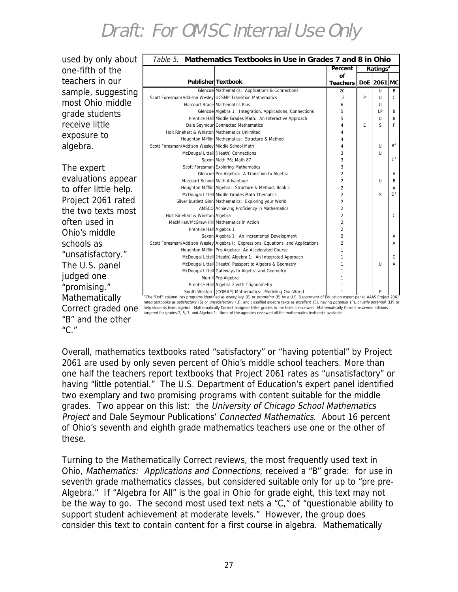| used by only about    |                                                            | Table 5. Mathematics Textbooks in Use in Grades 7 and 8 in Ohio                                                                                                                                                                                                                                               |                                  |   |                      |              |
|-----------------------|------------------------------------------------------------|---------------------------------------------------------------------------------------------------------------------------------------------------------------------------------------------------------------------------------------------------------------------------------------------------------------|----------------------------------|---|----------------------|--------------|
| one-fifth of the      |                                                            |                                                                                                                                                                                                                                                                                                               | Percent                          |   | Ratings <sup>a</sup> |              |
| teachers in our       |                                                            |                                                                                                                                                                                                                                                                                                               | of                               |   |                      |              |
|                       |                                                            | Publisher Textbook                                                                                                                                                                                                                                                                                            | Teachers   DoE 2061 MC           |   |                      |              |
| sample, suggesting    |                                                            | Glencoe Mathematics: Applications & Connections                                                                                                                                                                                                                                                               | 20<br>12                         | P | U<br>$\cup$          | B<br>C       |
| most Ohio middle      | Scott Foresman/Addison Wesley UCSMP Transition Mathematics | Harcourt Brace Mathematics Plus                                                                                                                                                                                                                                                                               | 6                                |   | U                    |              |
|                       |                                                            | Glencoe Algebra 1: Integration, Applications, Connections                                                                                                                                                                                                                                                     | 5                                |   | LP                   | B            |
| grade students        |                                                            | Prentice Hall Middle Grades Math: An Interactive Approach                                                                                                                                                                                                                                                     | 5                                |   | $\cup$               | B            |
| receive little        |                                                            | Dale Seymour Connected Mathematics                                                                                                                                                                                                                                                                            |                                  | E | S                    | F            |
| exposure to           | Holt Rinehart & Winston Mathematics Unlimited              |                                                                                                                                                                                                                                                                                                               |                                  |   |                      |              |
|                       |                                                            | Houghton Mifflin Mathematics: Structure & Method                                                                                                                                                                                                                                                              |                                  |   |                      |              |
| algebra.              | Scott Foresman/Addison Wesley Middle School Math           |                                                                                                                                                                                                                                                                                                               | 3                                |   | U<br>$\cup$          | $B^+$        |
|                       |                                                            | McDougal Littell (Heath) Connections<br>Saxon Math 76: Math 87                                                                                                                                                                                                                                                | 3                                |   |                      | $C^+$        |
| The expert            |                                                            | Scott Foresman Exploring Mathematics                                                                                                                                                                                                                                                                          | 3                                |   |                      |              |
|                       |                                                            | Glencoe Pre-Algebra: A Transition to Algebra                                                                                                                                                                                                                                                                  | $\overline{2}$                   |   |                      | A            |
| evaluations appear    |                                                            | Harcourt School Math Advantage                                                                                                                                                                                                                                                                                | $\overline{2}$                   |   | U                    | B            |
| to offer little help. |                                                            | Houghton Mifflin Algebra: Structure & Method, Book 1                                                                                                                                                                                                                                                          | $\overline{2}$                   |   |                      | A            |
|                       |                                                            | McDougal Littell Middle Grades Math Thematics                                                                                                                                                                                                                                                                 | $\overline{2}$                   |   | S                    | $D^+$        |
| Project 2061 rated    |                                                            | Silver Burdett Ginn Mathematics: Exploring your World                                                                                                                                                                                                                                                         | $\overline{2}$                   |   |                      |              |
| the two texts most    | Holt Rinehart & Winston Algebra                            | AMSCO Achieving Proficiency in Mathematics                                                                                                                                                                                                                                                                    | $\mathfrak{p}$<br>$\overline{2}$ |   |                      | $\mathsf{C}$ |
| often used in         | MacMillan/McGraw-Hill Mathematics in Action                |                                                                                                                                                                                                                                                                                                               | $\overline{2}$                   |   |                      |              |
|                       | Prentice Hall Algebra 1                                    |                                                                                                                                                                                                                                                                                                               | $\mathfrak{p}$                   |   |                      |              |
| Ohio's middle         |                                                            | Saxon Algebra 1: An Incremental Development                                                                                                                                                                                                                                                                   | $\mathfrak{p}$                   |   |                      | A            |
| schools as            |                                                            | Scott Foresman/Addison Wesley Algebra I: Expressions, Equations, and Applications                                                                                                                                                                                                                             | $\mathfrak{D}$                   |   |                      | A            |
| "unsatisfactory."     |                                                            | Houghton Mifflin Pre-Algebra: An Accelerated Course                                                                                                                                                                                                                                                           |                                  |   |                      |              |
|                       |                                                            | McDougal Littell (Heath) Algebra 1: An Integrated Approach                                                                                                                                                                                                                                                    |                                  |   |                      | $\mathsf{C}$ |
| The U.S. panel        |                                                            | McDougal Littell (Heath) Passport to Algebra & Geometry<br>McDougal Littell Gateways to Algebra and Geometry                                                                                                                                                                                                  |                                  |   | $\cup$               | A            |
| judged one            |                                                            | Merrill Pre-Algebra                                                                                                                                                                                                                                                                                           |                                  |   |                      |              |
|                       |                                                            | Prentice Hall Algebra 2 with Trigonometry                                                                                                                                                                                                                                                                     |                                  |   |                      |              |
| "promising."          |                                                            | South-Western (COMAP) Mathematics: Modeling Our World                                                                                                                                                                                                                                                         |                                  |   |                      |              |
| Mathematically        |                                                            | The "DoE" column lists programs identified as exemplary (E) or promising (P) by a U.S. Department of Education expert panel. AAAS Project 2061<br>rated textbooks as satisfactory (S) or unsatisfactory (U), and classified algebra texts as excellent (E), having potential (P), or little potential (LP) to |                                  |   |                      |              |
| Correct graded one    |                                                            | help students learn algebra. Mathematically Correct assigned letter grades to the texts it reviewed. Mathematically Correct reviewed editions                                                                                                                                                                 |                                  |   |                      |              |
| "B" and the other     |                                                            | targeted for grades 2, 5, 7, and Algebra 1. None of the agencies reviewed all the mathematics textbooks available.                                                                                                                                                                                            |                                  |   |                      |              |
|                       |                                                            |                                                                                                                                                                                                                                                                                                               |                                  |   |                      |              |
| $C''$ ."              |                                                            |                                                                                                                                                                                                                                                                                                               |                                  |   |                      |              |

Overall, mathematics textbooks rated "satisfactory" or "having potential" by Project 2061 are used by only seven percent of Ohio's middle school teachers. More than one half the teachers report textbooks that Project 2061 rates as "unsatisfactory" or having "little potential." The U.S. Department of Education's expert panel identified two exemplary and two promising programs with content suitable for the middle grades. Two appear on this list: the University of Chicago School Mathematics Project and Dale Seymour Publications' Connected Mathematics. About 16 percent of Ohio's seventh and eighth grade mathematics teachers use one or the other of these.

Turning to the Mathematically Correct reviews, the most frequently used text in Ohio, Mathematics: Applications and Connections, received a "B" grade: for use in seventh grade mathematics classes, but considered suitable only for up to "pre pre-Algebra." If "Algebra for All" is the goal in Ohio for grade eight, this text may not be the way to go. The second most used text nets a "C," of "questionable ability to support student achievement at moderate levels." However, the group does consider this text to contain content for a first course in algebra. Mathematically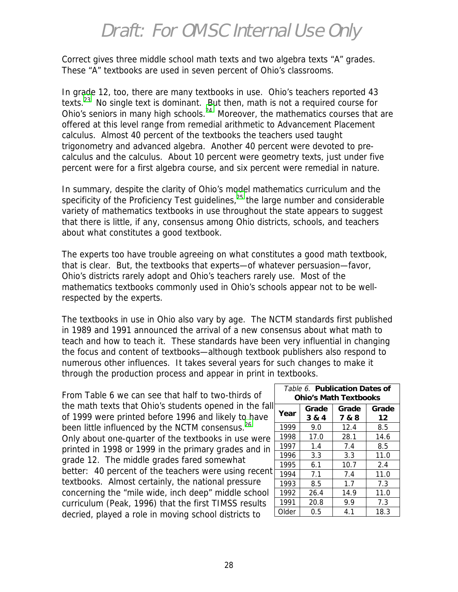Correct gives three middle school math texts and two algebra texts "A" grades. These "A" textbooks are used in seven percent of Ohio's classrooms.

In grade 12, too, there are many textbooks in use. Ohio's teachers reported 43 texts[.23](#page-51-0) No single text is dominant. But then, math is not a required course for Ohio's seniors in many high schools.<sup>24</sup> Moreover, the mathematics courses that are offered at this level range from remedial arithmetic to Advancement Placement calculus. Almost 40 percent of the textbooks the teachers used taught trigonometry and advanced algebra. Another 40 percent were devoted to precalculus and the calculus. About 10 percent were geometry texts, just under five percent were for a first algebra course, and six percent were remedial in nature.

In summary, despite the clarity of Ohio's model mathematics curriculum and the specificity of the Proficiency Test guidelines, $25$  the large number and considerable variety of mathematics textbooks in use throughout the state appears to suggest that there is little, if any, consensus among Ohio districts, schools, and teachers about what constitutes a good textbook.

The experts too have trouble agreeing on what constitutes a good math textbook, that is clear. But, the textbooks that experts—of whatever persuasion—favor, Ohio's districts rarely adopt and Ohio's teachers rarely use. Most of the mathematics textbooks commonly used in Ohio's schools appear not to be wellrespected by the experts.

The textbooks in use in Ohio also vary by age. The NCTM standards first published in 1989 and 1991 announced the arrival of a new consensus about what math to teach and how to teach it. These standards have been very influential in changing the focus and content of textbooks—although textbook publishers also respond to numerous other influences. It takes several years for such changes to make it through the production process and appear in print in textbooks.

From Table 6 we can see that half to two-thirds of the math texts that Ohio's students opened in the fall of 1999 were printed before 1996 and likely to have been little influenced by the NCTM consensus.<sup>26</sup> Only about one-quarter of the textbooks in use were printed in 1998 or 1999 in the primary grades and in grade 12. The middle grades fared somewhat better: 40 percent of the teachers were using recent textbooks. Almost certainly, the national pressure concerning the "mile wide, inch deep" middle school curriculum (Peak, 1996) that the first TIMSS results decried, played a role in moving school districts to

| Table 6. Publication Dates of<br><b>Ohio's Math Textbooks</b> |                |                |             |  |  |  |  |
|---------------------------------------------------------------|----------------|----------------|-------------|--|--|--|--|
| Year                                                          | Grade<br>3 & 4 | Grade<br>7 & 8 | Grade<br>12 |  |  |  |  |
| 1999                                                          | 9.0            | 12.4           | 8.5         |  |  |  |  |
| 1998                                                          | 17.0           | 28.1           | 14.6        |  |  |  |  |
| 1997                                                          | 1.4            | 7.4            | 8.5         |  |  |  |  |
| 1996                                                          | 3.3            | 3.3            | 11.0        |  |  |  |  |
| 1995                                                          | 6.1            | 10.7           | 2.4         |  |  |  |  |
| 1994                                                          | 7.1            | 7.4            | 11.0        |  |  |  |  |
| 1993                                                          | 8.5            | 1.7            | 7.3         |  |  |  |  |
| 1992                                                          | 26.4           | 14.9           | 11.0        |  |  |  |  |
| 1991                                                          | 20.8           | 9.9            | 7.3         |  |  |  |  |
| Older                                                         | 0.5            | 4.1            | 18.3        |  |  |  |  |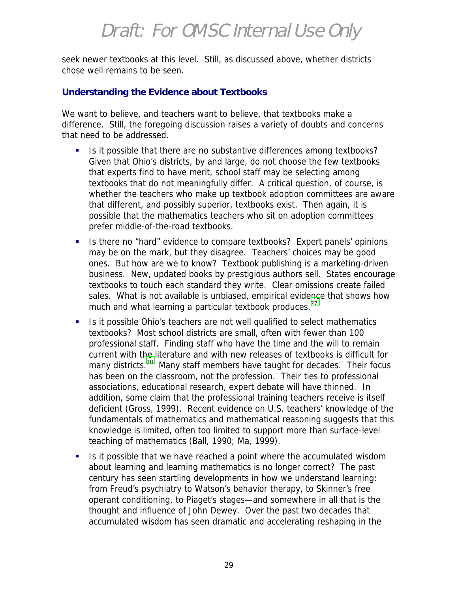seek newer textbooks at this level. Still, as discussed above, whether districts chose well remains to be seen.

#### **Understanding the Evidence about Textbooks**

We want to believe, and teachers want to believe, that textbooks make a difference. Still, the foregoing discussion raises a variety of doubts and concerns that need to be addressed.

- Is it possible that there are no substantive differences among textbooks? Given that Ohio's districts, by and large, do not choose the few textbooks that experts find to have merit, school staff may be selecting among textbooks that do not meaningfully differ. A critical question, of course, is whether the teachers who make up textbook adoption committees are aware that different, and possibly superior, textbooks exist. Then again, it is possible that the mathematics teachers who sit on adoption committees prefer middle-of-the-road textbooks.
- !"Is there no "hard" evidence to compare textbooks? Expert panels' opinions may be on the mark, but they disagree. Teachers' choices may be good ones. But how are we to know? Textbook publishing is a marketing-driven business. New, updated books by prestigious authors sell. States encourage textbooks to touch each standard they write. Clear omissions create failed sales. What is not available is unbiased, empirical evidence that shows how much and what learning a particular textbook produces. $27$
- Is it possible Ohio's teachers are not well qualified to select mathematics textbooks? Most school districts are small, often with fewer than 100 professional staff. Finding staff who have the time and the will to remain current with the literature and with new releases of textbooks is difficult for many districts.<sup>28</sup> Many staff members have taught for decades. Their focus has been on the classroom, not the profession. Their ties to professional associations, educational research, expert debate will have thinned. In addition, some claim that the professional training teachers receive is itself deficient (Gross, 1999). Recent evidence on U.S. teachers' knowledge of the fundamentals of mathematics and mathematical reasoning suggests that this knowledge is limited, often too limited to support more than surface-level teaching of mathematics (Ball, 1990; Ma, 1999).
- **I.** Is it possible that we have reached a point where the accumulated wisdom about learning and learning mathematics is no longer correct? The past century has seen startling developments in how we understand learning: from Freud's psychiatry to Watson's behavior therapy, to Skinner's free operant conditioning, to Piaget's stages—and somewhere in all that is the thought and influence of John Dewey. Over the past two decades that accumulated wisdom has seen dramatic and accelerating reshaping in the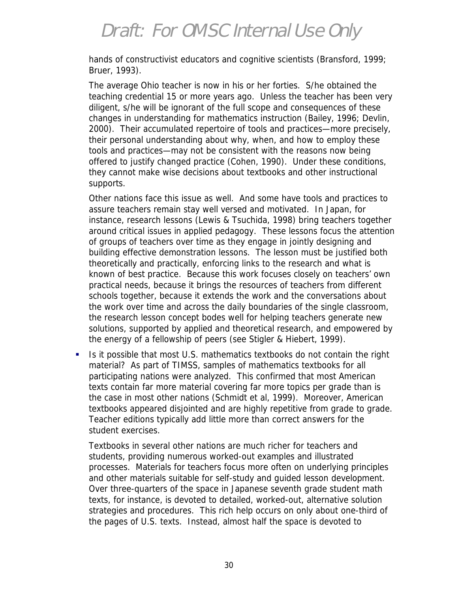hands of constructivist educators and cognitive scientists (Bransford, 1999; Bruer, 1993).

The average Ohio teacher is now in his or her forties. S/he obtained the teaching credential 15 or more years ago. Unless the teacher has been very diligent, s/he will be ignorant of the full scope and consequences of these changes in understanding for mathematics instruction (Bailey, 1996; Devlin, 2000). Their accumulated repertoire of tools and practices—more precisely, their personal understanding about why, when, and how to employ these tools and practices—may not be consistent with the reasons now being offered to justify changed practice (Cohen, 1990). Under these conditions, they cannot make wise decisions about textbooks and other instructional supports.

Other nations face this issue as well. And some have tools and practices to assure teachers remain stay well versed and motivated. In Japan, for instance, research lessons (Lewis & Tsuchida, 1998) bring teachers together around critical issues in applied pedagogy. These lessons focus the attention of groups of teachers over time as they engage in jointly designing and building effective demonstration lessons. The lesson must be justified both theoretically and practically, enforcing links to the research and what is known of best practice. Because this work focuses closely on teachers' own practical needs, because it brings the resources of teachers from different schools together, because it extends the work and the conversations about the work over time and across the daily boundaries of the single classroom, the research lesson concept bodes well for helping teachers generate new solutions, supported by applied and theoretical research, and empowered by the energy of a fellowship of peers (see Stigler & Hiebert, 1999).

!"Is it possible that most U.S. mathematics textbooks do not contain the right material? As part of TIMSS, samples of mathematics textbooks for all participating nations were analyzed. This confirmed that most American texts contain far more material covering far more topics per grade than is the case in most other nations (Schmidt et al, 1999). Moreover, American textbooks appeared disjointed and are highly repetitive from grade to grade. Teacher editions typically add little more than correct answers for the student exercises.

Textbooks in several other nations are much richer for teachers and students, providing numerous worked-out examples and illustrated processes. Materials for teachers focus more often on underlying principles and other materials suitable for self-study and guided lesson development. Over three-quarters of the space in Japanese seventh grade student math texts, for instance, is devoted to detailed, worked-out, alternative solution strategies and procedures. This rich help occurs on only about one-third of the pages of U.S. texts. Instead, almost half the space is devoted to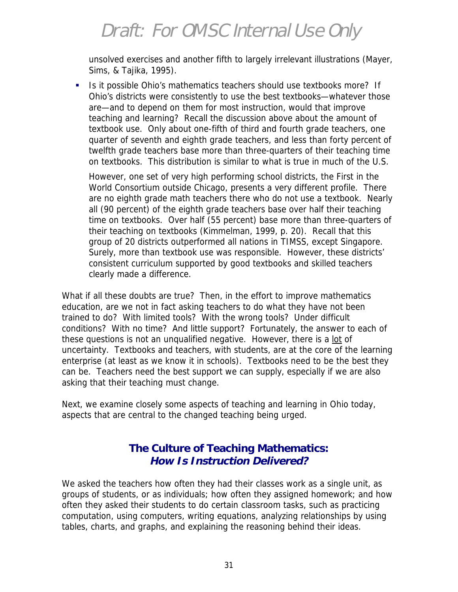unsolved exercises and another fifth to largely irrelevant illustrations (Mayer, Sims, & Tajika, 1995).

!"Is it possible Ohio's mathematics teachers should use textbooks more? If Ohio's districts were consistently to use the best textbooks—whatever those are—and to depend on them for most instruction, would that improve teaching and learning? Recall the discussion above about the amount of textbook use. Only about one-fifth of third and fourth grade teachers, one quarter of seventh and eighth grade teachers, and less than forty percent of twelfth grade teachers base more than three-quarters of their teaching time on textbooks. This distribution is similar to what is true in much of the U.S.

However, one set of very high performing school districts, the First in the World Consortium outside Chicago, presents a very different profile. There are no eighth grade math teachers there who do not use a textbook. Nearly all (90 percent) of the eighth grade teachers base over half their teaching time on textbooks. Over half (55 percent) base more than three-quarters of their teaching on textbooks (Kimmelman, 1999, p. 20). Recall that this group of 20 districts outperformed all nations in TIMSS, except Singapore. Surely, more than textbook use was responsible. However, these districts' consistent curriculum supported by good textbooks and skilled teachers clearly made a difference.

What if all these doubts are true? Then, in the effort to improve mathematics education, are we not in fact asking teachers to do what they have not been trained to do? With limited tools? With the wrong tools? Under difficult conditions? With no time? And little support? Fortunately, the answer to each of these questions is not an unqualified negative. However, there is a lot of uncertainty. Textbooks and teachers, with students, are at the core of the learning enterprise (at least as we know it in schools). Textbooks need to be the best they can be. Teachers need the best support we can supply, especially if we are also asking that their teaching must change.

Next, we examine closely some aspects of teaching and learning in Ohio today, aspects that are central to the changed teaching being urged.

#### **The Culture of Teaching Mathematics: How Is Instruction Delivered?**

We asked the teachers how often they had their classes work as a single unit, as groups of students, or as individuals; how often they assigned homework; and how often they asked their students to do certain classroom tasks, such as practicing computation, using computers, writing equations, analyzing relationships by using tables, charts, and graphs, and explaining the reasoning behind their ideas.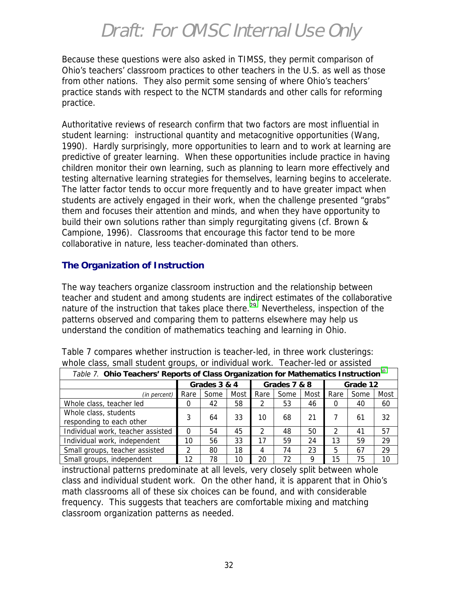Because these questions were also asked in TIMSS, they permit comparison of Ohio's teachers' classroom practices to other teachers in the U.S. as well as those from other nations. They also permit some sensing of where Ohio's teachers' practice stands with respect to the NCTM standards and other calls for reforming practice.

Authoritative reviews of research confirm that two factors are most influential in student learning: instructional quantity and metacognitive opportunities (Wang, 1990). Hardly surprisingly, more opportunities to learn and to work at learning are predictive of greater learning. When these opportunities include practice in having children monitor their own learning, such as planning to learn more effectively and testing alternative learning strategies for themselves, learning begins to accelerate. The latter factor tends to occur more frequently and to have greater impact when students are actively engaged in their work, when the challenge presented "grabs" them and focuses their attention and minds, and when they have opportunity to build their own solutions rather than simply regurgitating givens (cf. Brown & Campione, 1996). Classrooms that encourage this factor tend to be more collaborative in nature, less teacher-dominated than others.

#### **The Organization of Instruction**

The way teachers organize classroom instruction and the relationship between teacher and student and among students are indirect estimates of the collaborative nature of the instruction that takes place there.<sup>29</sup> Nevertheless, inspection of the patterns observed and comparing them to patterns elsewhere may help us understand the condition of mathematics teaching and learning in Ohio.

| Table 7. Ohio Teachers' Reports of Class Organization for Mathematics Instruction <sup>30</sup> |                |      |      |              |      |      |          |      |      |
|-------------------------------------------------------------------------------------------------|----------------|------|------|--------------|------|------|----------|------|------|
|                                                                                                 | Grades 3 & 4   |      |      | Grades 7 & 8 |      |      | Grade 12 |      |      |
| (in percent)                                                                                    | Rare           | Some | Most | Rare         | Some | Most | Rare     | Some | Most |
| Whole class, teacher led                                                                        | O              | 42   | 58   | 2            | 53   | 46   |          | 40   | 60   |
| Whole class, students<br>responding to each other                                               | 3              | 64   | 33   | 10           | 68   | 21   |          | 61   | 32   |
| Individual work, teacher assisted                                                               | $\Omega$       | 54   | 45   | 2            | 48   | 50   |          | 41   | 57   |
| Individual work, independent                                                                    | 10             | 56   | 33   |              | 59   | 24   | 13       | 59   | 29   |
| Small groups, teacher assisted                                                                  | $\mathfrak{D}$ | 80   | 18   | 4            | 74   | 23   | 5        | 67   | 29   |
| Small groups, independent                                                                       | 12             | 78   | 10   | 20           | 72   | 9    | 15       | 75   | 10   |

Table 7 compares whether instruction is teacher-led, in three work clusterings: whole class, small student groups, or individual work. Teacher-led or assisted

instructional patterns predominate at all levels, very closely split between whole class and individual student work. On the other hand, it is apparent that in Ohio's math classrooms all of these six choices can be found, and with considerable frequency. This suggests that teachers are comfortable mixing and matching classroom organization patterns as needed.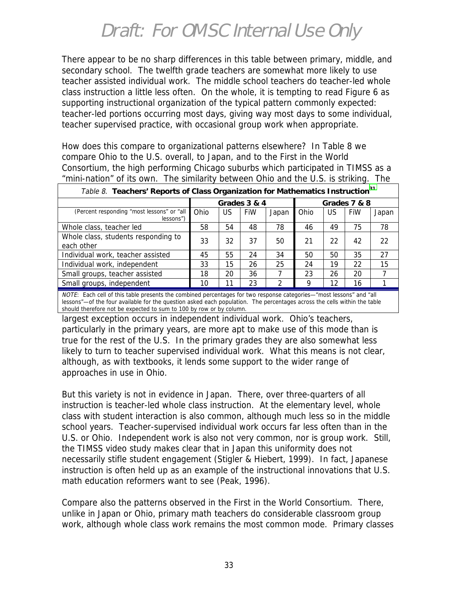There appear to be no sharp differences in this table between primary, middle, and secondary school. The twelfth grade teachers are somewhat more likely to use teacher assisted individual work. The middle school teachers do teacher-led whole class instruction a little less often. On the whole, it is tempting to read Figure 6 as supporting instructional organization of the typical pattern commonly expected: teacher-led portions occurring most days, giving way most days to some individual, teacher supervised practice, with occasional group work when appropriate.

How does this compare to organizational patterns elsewhere? In Table 8 we compare Ohio to the U.S. overall, to Japan, and to the First in the World Consortium, the high performing Chicago suburbs which participated in TIMSS as a "mini-nation" of its own. The similarity between Ohio and the U.S. is striking. The

| Table 8. Teachers' Reports of Class Organization for Mathematics Instruction <sup>31</sup> |                              |    |     |       |      |    |     |       |
|--------------------------------------------------------------------------------------------|------------------------------|----|-----|-------|------|----|-----|-------|
|                                                                                            | Grades 3 & 4<br>Grades 7 & 8 |    |     |       |      |    |     |       |
| (Percent responding "most lessons" or "all<br>$lessons$ "                                  | Ohio                         | US | FiW | Japan | Ohio | US | FiW | Japan |
| Whole class, teacher led                                                                   | 58                           | 54 | 48  | 78    | 46   | 49 | 75  | 78    |
| Whole class, students responding to<br>each other                                          | 33                           | 32 | 37  | 50    | 21   | 22 | 42  | 22    |
| Individual work, teacher assisted                                                          | 45                           | 55 | 24  | 34    | 50   | 50 | 35  | 27    |
| Individual work, independent                                                               | 33                           | 15 | 26  | 25    | 24   | 19 | 22  | 15    |
| Small groups, teacher assisted                                                             | 18                           | 20 | 36  |       | 23   | 26 | 20  |       |
| Small groups, independent                                                                  | 10                           | 11 | 23  | າ     | Q    | 12 | 16  |       |

NOTE: Each cell of this table presents the combined percentages for two response categories—"most lessons" and "all lessons"—of the four available for the question asked each population. The percentages across the cells within the table should therefore not be expected to sum to 100 by row or by column.

largest exception occurs in independent individual work. Ohio's teachers, particularly in the primary years, are more apt to make use of this mode than is true for the rest of the U.S. In the primary grades they are also somewhat less likely to turn to teacher supervised individual work. What this means is not clear, although, as with textbooks, it lends some support to the wider range of approaches in use in Ohio.

But this variety is not in evidence in Japan. There, over three-quarters of all instruction is teacher-led whole class instruction. At the elementary level, whole class with student interaction is also common, although much less so in the middle school years. Teacher-supervised individual work occurs far less often than in the U.S. or Ohio. Independent work is also not very common, nor is group work. Still, the TIMSS video study makes clear that in Japan this uniformity does not necessarily stifle student engagement (Stigler & Hiebert, 1999). In fact, Japanese instruction is often held up as an example of the instructional innovations that U.S. math education reformers want to see (Peak, 1996).

Compare also the patterns observed in the First in the World Consortium. There, unlike in Japan or Ohio, primary math teachers do considerable classroom group work, although whole class work remains the most common mode. Primary classes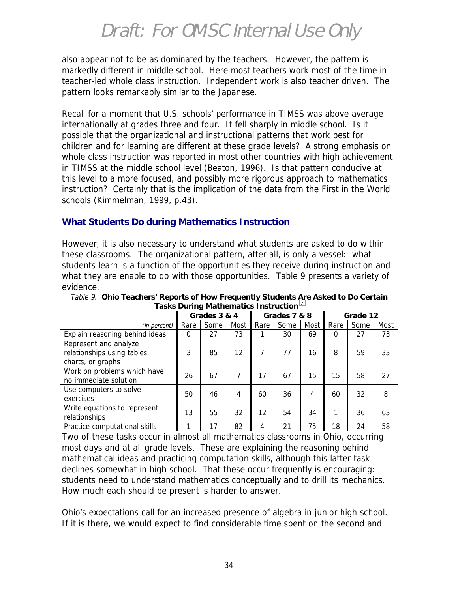also appear not to be as dominated by the teachers. However, the pattern is markedly different in middle school. Here most teachers work most of the time in teacher-led whole class instruction. Independent work is also teacher driven. The pattern looks remarkably similar to the Japanese.

Recall for a moment that U.S. schools' performance in TIMSS was above average internationally at grades three and four. It fell sharply in middle school. Is it possible that the organizational and instructional patterns that work best for children and for learning are different at these grade levels? A strong emphasis on whole class instruction was reported in most other countries with high achievement in TIMSS at the middle school level (Beaton, 1996). Is that pattern conducive at this level to a more focused, and possibly more rigorous approach to mathematics instruction? Certainly that is the implication of the data from the First in the World schools (Kimmelman, 1999, p.43).

#### **What Students Do during Mathematics Instruction**

However, it is also necessary to understand what students are asked to do within these classrooms. The organizational pattern, after all, is only a vessel: what students learn is a function of the opportunities they receive during instruction and what they are enable to do with those opportunities. Table 9 presents a variety of evidence.

| Table 9. Ohio Teachers' Reports of How Frequently Students Are Asked to Do Certain |      |                                                    |      |      |      |      |          |      |      |
|------------------------------------------------------------------------------------|------|----------------------------------------------------|------|------|------|------|----------|------|------|
|                                                                                    |      | Tasks During Mathematics Instruction <sup>32</sup> |      |      |      |      |          |      |      |
|                                                                                    |      | Grades 3 & 4<br>Grades 7 & 8                       |      |      |      |      | Grade 12 |      |      |
| (in percent)                                                                       | Rare | Some                                               | Most | Rare | Some | Most | Rare     | Some | Most |
| Explain reasoning behind ideas                                                     | 0    | 27                                                 | 73   |      | 30   | 69   | $\Omega$ | 27   | 73   |
| Represent and analyze<br>relationships using tables,<br>charts, or graphs          | 3    | 85                                                 | 12   | 7    | 77   | 16   | 8        | 59   | 33   |
| Work on problems which have<br>no immediate solution                               | 26   | 67                                                 | 7    | 17   | 67   | 15   | 15       | 58   | 27   |
| Use computers to solve<br>exercises                                                | 50   | 46                                                 | 4    | 60   | 36   | 4    | 60       | 32   | 8    |
| Write equations to represent<br>relationships                                      | 13   | 55                                                 | 32   | 12   | 54   | 34   |          | 36   | 63   |
| Practice computational skills                                                      |      | 17                                                 | 82   | 4    | 21   | 75   | 18       | 24   | 58   |

Two of these tasks occur in almost all mathematics classrooms in Ohio, occurring most days and at all grade levels. These are explaining the reasoning behind mathematical ideas and practicing computation skills, although this latter task declines somewhat in high school. That these occur frequently is encouraging: students need to understand mathematics conceptually and to drill its mechanics. How much each should be present is harder to answer.

Ohio's expectations call for an increased presence of algebra in junior high school. If it is there, we would expect to find considerable time spent on the second and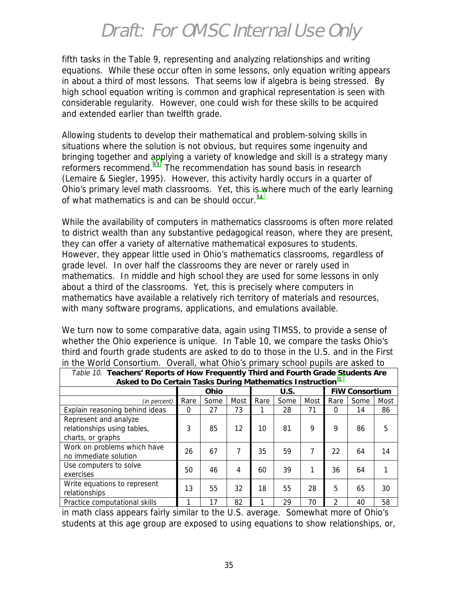fifth tasks in the Table 9, representing and analyzing relationships and writing equations. While these occur often in some lessons, only equation writing appears in about a third of most lessons. That seems low if algebra is being stressed. By high school equation writing is common and graphical representation is seen with considerable regularity. However, one could wish for these skills to be acquired and extended earlier than twelfth grade.

Allowing students to develop their mathematical and problem-solving skills in situations where the solution is not obvious, but requires some ingenuity and bringing together and applying a variety of knowledge and skill is a strategy many reformers recommend.<sup>33</sup> The recommendation has sound basis in research (Lemaire & Siegler, 1995). However, this activity hardly occurs in a quarter of Ohio's primary level math classrooms. Yet, this is where much of the early learning of what mathematics is and can be should occur.<sup>[34](#page-51-0)</sup>

While the availability of computers in mathematics classrooms is often more related to district wealth than any substantive pedagogical reason, where they are present, they can offer a variety of alternative mathematical exposures to students. However, they appear little used in Ohio's mathematics classrooms, regardless of grade level. In over half the classrooms they are never or rarely used in mathematics. In middle and high school they are used for some lessons in only about a third of the classrooms. Yet, this is precisely where computers in mathematics have available a relatively rich territory of materials and resources, with many software programs, applications, and emulations available.

We turn now to some comparative data, again using TIMSS, to provide a sense of whether the Ohio experience is unique. In Table 10, we compare the tasks Ohio's third and fourth grade students are asked to do to those in the U.S. and in the First in the World Consortium. Overall, what Ohio's primary school pupils are asked to

| Table 10. Teachers' Reports of How Frequently Third and Fourth Grade Students Are |          |              |      |      |      |      |      |                       |      |  |
|-----------------------------------------------------------------------------------|----------|--------------|------|------|------|------|------|-----------------------|------|--|
| Asked to Do Certain Tasks During Mathematics Instruction <sup>35</sup>            |          |              |      |      |      |      |      |                       |      |  |
|                                                                                   |          | Ohio<br>U.S. |      |      |      |      |      | <b>FIW Consortium</b> |      |  |
| (in percent)                                                                      | Rare     | Some         | Most | Rare | Some | Most | Rare | Some                  | Most |  |
| Explain reasoning behind ideas                                                    | $\Omega$ | 27           | 73   |      | 28   | 71   | 0    | 14                    | 86   |  |
| Represent and analyze<br>relationships using tables,<br>charts, or graphs         | 3        | 85           | 12   | 10   | 81   | 9    | 9    | 86                    | 5    |  |
| Work on problems which have<br>no immediate solution                              | 26       | 67           | 7    | 35   | 59   | 7    | 22   | 64                    | 14   |  |
| Use computers to solve<br>exercises                                               | 50       | 46           | 4    | 60   | 39   | 1    | 36   | 64                    |      |  |
| Write equations to represent<br>relationships                                     | 13       | 55           | 32   | 18   | 55   | 28   | 5    | 65                    | 30   |  |
| Practice computational skills                                                     |          | 17           | 82   |      | 29   | 70   | 2    | 40                    | 58   |  |

in math class appears fairly similar to the U.S. average. Somewhat more of Ohio's students at this age group are exposed to using equations to show relationships, or,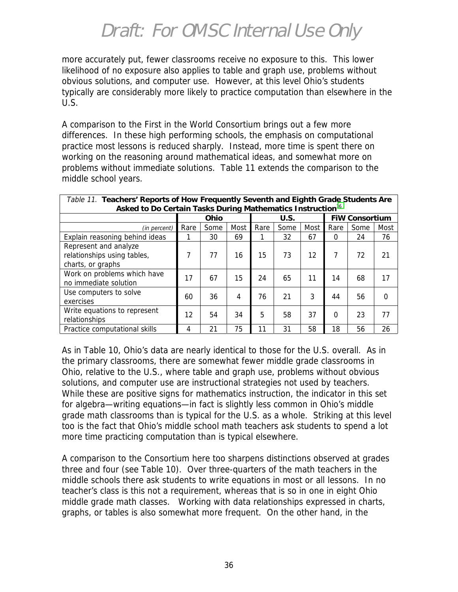more accurately put, fewer classrooms receive no exposure to this. This lower likelihood of no exposure also applies to table and graph use, problems without obvious solutions, and computer use. However, at this level Ohio's students typically are considerably more likely to practice computation than elsewhere in the U.S.

A comparison to the First in the World Consortium brings out a few more differences. In these high performing schools, the emphasis on computational practice most lessons is reduced sharply. Instead, more time is spent there on working on the reasoning around mathematical ideas, and somewhat more on problems without immediate solutions. Table 11 extends the comparison to the middle school years.

| Table 11. Teachers' Reports of How Frequently Seventh and Eighth Grade Students Are |              |      |      |      |                       |      |          |      |          |
|-------------------------------------------------------------------------------------|--------------|------|------|------|-----------------------|------|----------|------|----------|
| Asked to Do Certain Tasks During Mathematics Instruction <sup>36</sup>              |              |      |      |      |                       |      |          |      |          |
|                                                                                     | U.S.<br>Ohio |      |      |      | <b>FIW Consortium</b> |      |          |      |          |
| (in percent)                                                                        | Rare         | Some | Most | Rare | Some                  | Most | Rare     | Some | Most     |
| Explain reasoning behind ideas                                                      |              | 30   | 69   |      | 32                    | 67   | $\Omega$ | 24   | 76       |
| Represent and analyze<br>relationships using tables,                                | 7            | 77   | 16   | 15   | 73                    | 12   | 7        | 72   | 21       |
| charts, or graphs                                                                   |              |      |      |      |                       |      |          |      |          |
| Work on problems which have<br>no immediate solution                                | 17           | 67   | 15   | 24   | 65                    | 11   | 14       | 68   | 17       |
| Use computers to solve<br>exercises                                                 | 60           | 36   | 4    | 76   | 21                    | 3    | 44       | 56   | $\Omega$ |
| Write equations to represent<br>relationships                                       | 12           | 54   | 34   | 5    | 58                    | 37   | $\Omega$ | 23   | 77       |
| Practice computational skills                                                       | 4            | 21   | 75   | 11   | 31                    | 58   | 18       | 56   | 26       |

As in Table 10, Ohio's data are nearly identical to those for the U.S. overall. As in the primary classrooms, there are somewhat fewer middle grade classrooms in Ohio, relative to the U.S., where table and graph use, problems without obvious solutions, and computer use are instructional strategies not used by teachers. While these are positive signs for mathematics instruction, the indicator in this set for algebra—writing equations—in fact is slightly less common in Ohio's middle grade math classrooms than is typical for the U.S. as a whole. Striking at this level too is the fact that Ohio's middle school math teachers ask students to spend a lot more time practicing computation than is typical elsewhere.

A comparison to the Consortium here too sharpens distinctions observed at grades three and four (see Table 10). Over three-quarters of the math teachers in the middle schools there ask students to write equations in most or all lessons. In no teacher's class is this not a requirement, whereas that is so in one in eight Ohio middle grade math classes. Working with data relationships expressed in charts, graphs, or tables is also somewhat more frequent. On the other hand, in the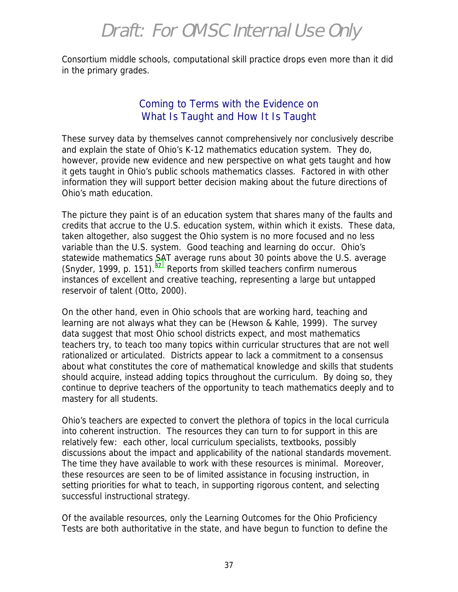Consortium middle schools, computational skill practice drops even more than it did in the primary grades.

#### Coming to Terms with the Evidence on What Is Taught and How It Is Taught

These survey data by themselves cannot comprehensively nor conclusively describe and explain the state of Ohio's K-12 mathematics education system. They do, however, provide new evidence and new perspective on what gets taught and how it gets taught in Ohio's public schools mathematics classes. Factored in with other information they will support better decision making about the future directions of Ohio's math education.

The picture they paint is of an education system that shares many of the faults and credits that accrue to the U.S. education system, within which it exists. These data, taken altogether, also suggest the Ohio system is no more focused and no less variable than the U.S. system. Good teaching and learning do occur. Ohio's statewide mathematics SAT average runs about 30 points above the U.S. average (Snyder, 1999, p. 151).<sup>37</sup> Reports from skilled teachers confirm numerous instances of excellent and creative teaching, representing a large but untapped reservoir of talent (Otto, 2000).

On the other hand, even in Ohio schools that are working hard, teaching and learning are not always what they can be (Hewson & Kahle, 1999). The survey data suggest that most Ohio school districts expect, and most mathematics teachers try, to teach too many topics within curricular structures that are not well rationalized or articulated. Districts appear to lack a commitment to a consensus about what constitutes the core of mathematical knowledge and skills that students should acquire, instead adding topics throughout the curriculum. By doing so, they continue to deprive teachers of the opportunity to teach mathematics deeply and to mastery for all students.

Ohio's teachers are expected to convert the plethora of topics in the local curricula into coherent instruction. The resources they can turn to for support in this are relatively few: each other, local curriculum specialists, textbooks, possibly discussions about the impact and applicability of the national standards movement. The time they have available to work with these resources is minimal. Moreover, these resources are seen to be of limited assistance in focusing instruction, in setting priorities for what to teach, in supporting rigorous content, and selecting successful instructional strategy.

Of the available resources, only the Learning Outcomes for the Ohio Proficiency Tests are both authoritative in the state, and have begun to function to define the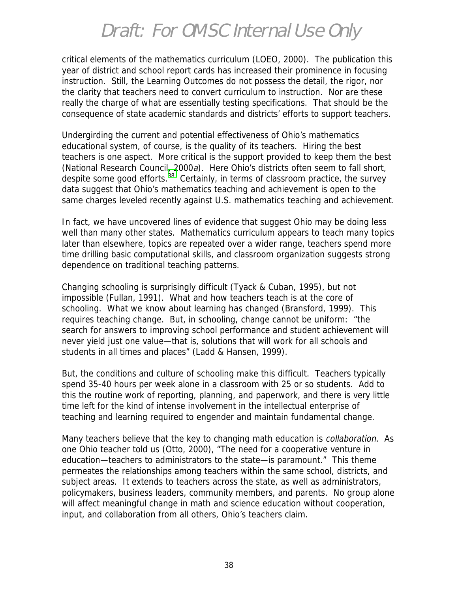critical elements of the mathematics curriculum (LOEO, 2000). The publication this year of district and school report cards has increased their prominence in focusing instruction. Still, the Learning Outcomes do not possess the detail, the rigor, nor the clarity that teachers need to convert curriculum to instruction. Nor are these really the charge of what are essentially testing specifications. That should be the consequence of state academic standards and districts' efforts to support teachers.

Undergirding the current and potential effectiveness of Ohio's mathematics educational system, of course, is the quality of its teachers. Hiring the best teachers is one aspect. More critical is the support provided to keep them the best (National Research Council, 2000a). Here Ohio's districts often seem to fall short, despite some good efforts. $38$  Certainly, in terms of classroom practice, the survey data suggest that Ohio's mathematics teaching and achievement is open to the same charges leveled recently against U.S. mathematics teaching and achievement.

In fact, we have uncovered lines of evidence that suggest Ohio may be doing less well than many other states. Mathematics curriculum appears to teach many topics later than elsewhere, topics are repeated over a wider range, teachers spend more time drilling basic computational skills, and classroom organization suggests strong dependence on traditional teaching patterns.

Changing schooling is surprisingly difficult (Tyack & Cuban, 1995), but not impossible (Fullan, 1991). What and how teachers teach is at the core of schooling. What we know about learning has changed (Bransford, 1999). This requires teaching change. But, in schooling, change cannot be uniform: "the search for answers to improving school performance and student achievement will never yield just one value—that is, solutions that will work for all schools and students in all times and places" (Ladd & Hansen, 1999).

But, the conditions and culture of schooling make this difficult. Teachers typically spend 35-40 hours per week alone in a classroom with 25 or so students. Add to this the routine work of reporting, planning, and paperwork, and there is very little time left for the kind of intense involvement in the intellectual enterprise of teaching and learning required to engender and maintain fundamental change.

Many teachers believe that the key to changing math education is *collaboration*. As one Ohio teacher told us (Otto, 2000), "The need for a cooperative venture in education—teachers to administrators to the state—is paramount." This theme permeates the relationships among teachers within the same school, districts, and subject areas. It extends to teachers across the state, as well as administrators, policymakers, business leaders, community members, and parents. No group alone will affect meaningful change in math and science education without cooperation, input, and collaboration from all others, Ohio's teachers claim.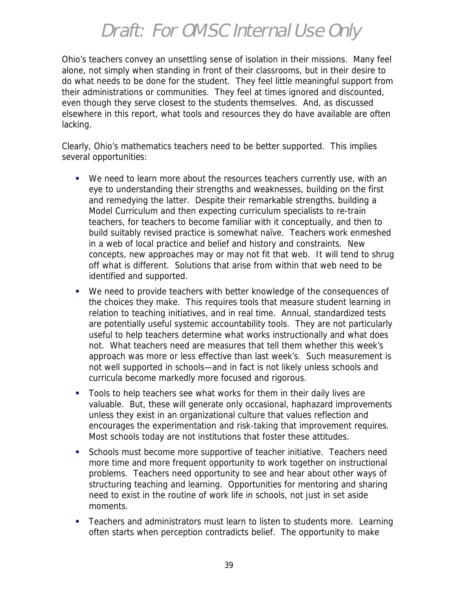Ohio's teachers convey an unsettling sense of isolation in their missions. Many feel alone, not simply when standing in front of their classrooms, but in their desire to do what needs to be done for the student. They feel little meaningful support from their administrations or communities. They feel at times ignored and discounted, even though they serve closest to the students themselves. And, as discussed elsewhere in this report, what tools and resources they do have available are often lacking.

Clearly, Ohio's mathematics teachers need to be better supported. This implies several opportunities:

- !"We need to learn more about the resources teachers currently use, with an eye to understanding their strengths and weaknesses, building on the first and remedying the latter. Despite their remarkable strengths, building a Model Curriculum and then expecting curriculum specialists to re-train teachers, for teachers to become familiar with it conceptually, and then to build suitably revised practice is somewhat naïve. Teachers work enmeshed in a web of local practice and belief and history and constraints. New concepts, new approaches may or may not fit that web. It will tend to shrug off what is different. Solutions that arise from within that web need to be identified and supported.
- We need to provide teachers with better knowledge of the consequences of the choices they make. This requires tools that measure student learning in relation to teaching initiatives, and in real time. Annual, standardized tests are potentially useful systemic accountability tools. They are not particularly useful to help teachers determine what works instructionally and what does not. What teachers need are measures that tell them whether this week's approach was more or less effective than last week's. Such measurement is not well supported in schools—and in fact is not likely unless schools and curricula become markedly more focused and rigorous.
- " Tools to help teachers see what works for them in their daily lives are valuable. But, these will generate only occasional, haphazard improvements unless they exist in an organizational culture that values reflection and encourages the experimentation and risk-taking that improvement requires. Most schools today are not institutions that foster these attitudes.
- Schools must become more supportive of teacher initiative. Teachers need more time and more frequent opportunity to work together on instructional problems. Teachers need opportunity to see and hear about other ways of structuring teaching and learning. Opportunities for mentoring and sharing need to exist in the routine of work life in schools, not just in set aside moments.
- **Teachers and administrators must learn to listen to students more. Learning** often starts when perception contradicts belief. The opportunity to make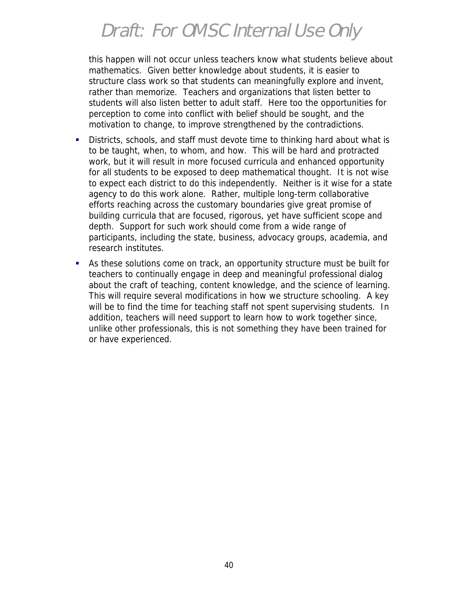this happen will not occur unless teachers know what students believe about mathematics. Given better knowledge about students, it is easier to structure class work so that students can meaningfully explore and invent, rather than memorize. Teachers and organizations that listen better to students will also listen better to adult staff. Here too the opportunities for perception to come into conflict with belief should be sought, and the motivation to change, to improve strengthened by the contradictions.

- !"Districts, schools, and staff must devote time to thinking hard about what is to be taught, when, to whom, and how. This will be hard and protracted work, but it will result in more focused curricula and enhanced opportunity for all students to be exposed to deep mathematical thought. It is not wise to expect each district to do this independently. Neither is it wise for a state agency to do this work alone. Rather, multiple long-term collaborative efforts reaching across the customary boundaries give great promise of building curricula that are focused, rigorous, yet have sufficient scope and depth. Support for such work should come from a wide range of participants, including the state, business, advocacy groups, academia, and research institutes.
- !"As these solutions come on track, an opportunity structure must be built for teachers to continually engage in deep and meaningful professional dialog about the craft of teaching, content knowledge, and the science of learning. This will require several modifications in how we structure schooling. A key will be to find the time for teaching staff not spent supervising students. In addition, teachers will need support to learn how to work together since, unlike other professionals, this is not something they have been trained for or have experienced.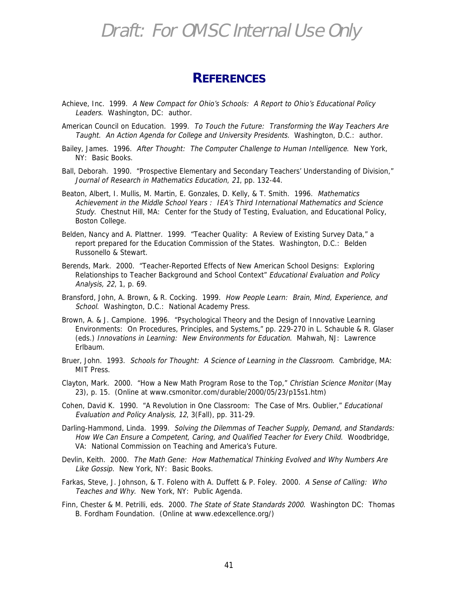#### **REFERENCES**

- Achieve, Inc. 1999. A New Compact for Ohio's Schools: A Report to Ohio's Educational Policy Leaders. Washington, DC: author.
- American Council on Education. 1999. To Touch the Future: Transforming the Way Teachers Are Taught. An Action Agenda for College and University Presidents. Washington, D.C.: author.
- Bailey, James. 1996. After Thought: The Computer Challenge to Human Intelligence. New York, NY: Basic Books.
- Ball, Deborah. 1990. "Prospective Elementary and Secondary Teachers' Understanding of Division," Journal of Research in Mathematics Education, 21, pp. 132-44.
- Beaton, Albert, I. Mullis, M. Martin, E. Gonzales, D. Kelly, & T. Smith. 1996. Mathematics Achievement in the Middle School Years : IEA's Third International Mathematics and Science Study. Chestnut Hill, MA: Center for the Study of Testing, Evaluation, and Educational Policy, Boston College.
- Belden, Nancy and A. Plattner. 1999. "Teacher Quality: A Review of Existing Survey Data," a report prepared for the Education Commission of the States. Washington, D.C.: Belden Russonello & Stewart.
- Berends, Mark. 2000. "Teacher-Reported Effects of New American School Designs: Exploring Relationships to Teacher Background and School Context" Educational Evaluation and Policy Analysis, 22, 1, p. 69.
- Bransford, John, A. Brown, & R. Cocking. 1999. How People Learn: Brain, Mind, Experience, and School. Washington, D.C.: National Academy Press.
- Brown, A. & J. Campione. 1996. "Psychological Theory and the Design of Innovative Learning Environments: On Procedures, Principles, and Systems," pp. 229-270 in L. Schauble & R. Glaser (eds.) Innovations in Learning: New Environments for Education. Mahwah, NJ: Lawrence Erlbaum.
- Bruer, John. 1993. Schools for Thought: A Science of Learning in the Classroom. Cambridge, MA: MIT Press.
- Clayton, Mark. 2000. "How a New Math Program Rose to the Top," Christian Science Monitor (May 23), p. 15. (Online at www.csmonitor.com/durable/2000/05/23/p15s1.htm)
- Cohen, David K. 1990. "A Revolution in One Classroom: The Case of Mrs. Oublier," Educational Evaluation and Policy Analysis, 12, 3(Fall), pp. 311-29.
- Darling-Hammond, Linda. 1999. Solving the Dilemmas of Teacher Supply, Demand, and Standards: How We Can Ensure a Competent, Caring, and Qualified Teacher for Every Child. Woodbridge, VA: National Commission on Teaching and America's Future.
- Devlin, Keith. 2000. The Math Gene: How Mathematical Thinking Evolved and Why Numbers Are Like Gossip. New York, NY: Basic Books.
- Farkas, Steve, J. Johnson, & T. Foleno with A. Duffett & P. Foley. 2000. A Sense of Calling: Who Teaches and Why. New York, NY: Public Agenda.
- Finn, Chester & M. Petrilli, eds. 2000. The State of State Standards 2000. Washington DC: Thomas B. Fordham Foundation. (Online at www.edexcellence.org/)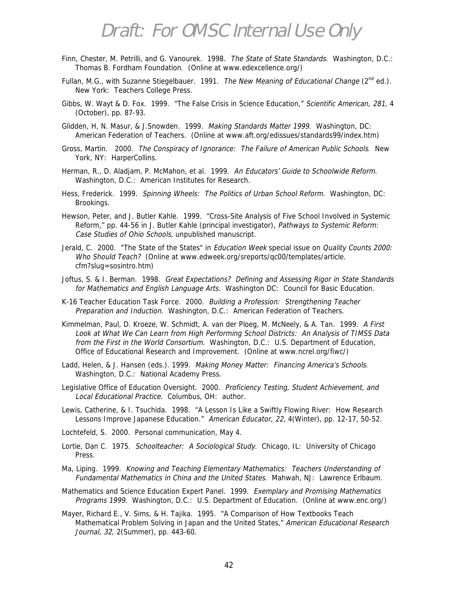- Finn, Chester, M. Petrilli, and G. Vanourek. 1998. The State of State Standards. Washington, D.C.: Thomas B. Fordham Foundation. (Online at www.edexcellence.org/)
- Fullan, M.G., with Suzanne Stiegelbauer. 1991. The New Meaning of Educational Change (2<sup>nd</sup> ed.). New York: Teachers College Press.
- Gibbs, W. Wayt & D. Fox. 1999. "The False Crisis in Science Education," Scientific American, 281, 4 (October), pp. 87-93.
- Glidden, H, N. Masur, & J.Snowden. 1999. Making Standards Matter 1999. Washington, DC: American Federation of Teachers. (Online at www.aft.org/edissues/standards99/index.htm)
- Gross, Martin. 2000. The Conspiracy of Ignorance: The Failure of American Public Schools. New York, NY: HarperCollins.
- Herman, R., D. Aladjam, P. McMahon, et al. 1999. An Educators' Guide to Schoolwide Reform. Washington, D.C.: American Institutes for Research.
- Hess, Frederick. 1999. Spinning Wheels: The Politics of Urban School Reform. Washington, DC: Brookings.
- Hewson, Peter, and J. Butler Kahle. 1999. "Cross-Site Analysis of Five School Involved in Systemic Reform," pp. 44-56 in J. Butler Kahle (principal investigator), Pathways to Systemic Reform: Case Studies of Ohio Schools, unpublished manuscript.
- Jerald, C. 2000. "The State of the States" in Education Week special issue on Quality Counts 2000: Who Should Teach? (Online at www.edweek.org/sreports/qc00/templates/article. cfm?slug=sosintro.htm)
- Joftus, S. & I. Berman. 1998. Great Expectations? Defining and Assessing Rigor in State Standards for Mathematics and English Language Arts. Washington DC: Council for Basic Education.
- K-16 Teacher Education Task Force. 2000. Building a Profession: Strengthening Teacher Preparation and Induction. Washington, D.C.: American Federation of Teachers.
- Kimmelman, Paul, D. Kroeze, W. Schmidt, A. van der Ploeg, M. McNeely, & A. Tan. 1999. A First Look at What We Can Learn from High Performing School Districts: An Analysis of TIMSS Data from the First in the World Consortium. Washington, D.C.: U.S. Department of Education, Office of Educational Research and Improvement. (Online at www.ncrel.org/fiwc/)
- Ladd, Helen, & J. Hansen (eds.). 1999. Making Money Matter: Financing America's Schools. Washington, D.C.: National Academy Press.
- Legislative Office of Education Oversight. 2000. Proficiency Testing, Student Achievement, and Local Educational Practice. Columbus, OH: author.
- Lewis, Catherine, & I. Tsuchida. 1998. "A Lesson Is Like a Swiftly Flowing River: How Research Lessons Improve Japanese Education." American Educator, 22, 4(Winter), pp. 12-17, 50-52.
- Lochtefeld, S. 2000. Personal communication, May 4.
- Lortie, Dan C. 1975. Schoolteacher: A Sociological Study. Chicago, IL: University of Chicago Press.
- Ma, Liping. 1999. Knowing and Teaching Elementary Mathematics: Teachers Understanding of Fundamental Mathematics in China and the United States. Mahwah, NJ: Lawrence Erlbaum.
- Mathematics and Science Education Expert Panel. 1999. Exemplary and Promising Mathematics Programs 1999. Washington, D.C.: U.S. Department of Education. (Online at www.enc.org/)
- Mayer, Richard E., V. Sims, & H. Tajika. 1995. "A Comparison of How Textbooks Teach Mathematical Problem Solving in Japan and the United States," American Educational Research Journal, 32, 2(Summer), pp. 443-60.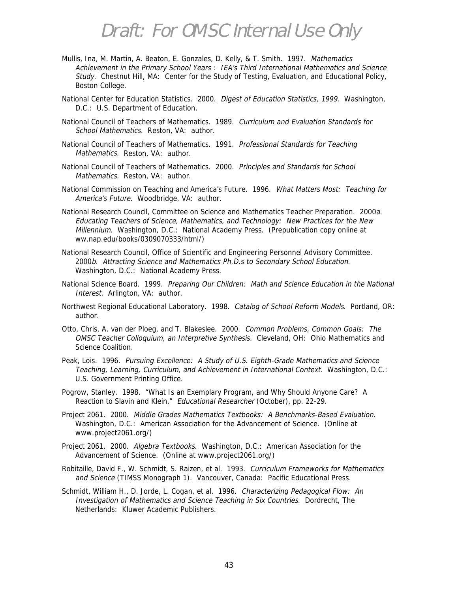- Mullis, Ina, M. Martin, A. Beaton, E. Gonzales, D. Kelly, & T. Smith. 1997. Mathematics Achievement in the Primary School Years : IEA's Third International Mathematics and Science Study. Chestnut Hill, MA: Center for the Study of Testing, Evaluation, and Educational Policy, Boston College.
- National Center for Education Statistics. 2000. Digest of Education Statistics, 1999. Washington, D.C.: U.S. Department of Education.
- National Council of Teachers of Mathematics. 1989. Curriculum and Evaluation Standards for School Mathematics. Reston, VA: author.
- National Council of Teachers of Mathematics. 1991. Professional Standards for Teaching Mathematics. Reston, VA: author.
- National Council of Teachers of Mathematics. 2000. Principles and Standards for School Mathematics. Reston, VA: author.
- National Commission on Teaching and America's Future. 1996. What Matters Most: Teaching for America's Future. Woodbridge, VA: author.
- National Research Council, Committee on Science and Mathematics Teacher Preparation. 2000a. Educating Teachers of Science, Mathematics, and Technology: New Practices for the New Millennium. Washington, D.C.: National Academy Press. (Prepublication copy online at ww.nap.edu/books/0309070333/html/)
- National Research Council, Office of Scientific and Engineering Personnel Advisory Committee. 2000b. Attracting Science and Mathematics Ph.D.s to Secondary School Education. Washington, D.C.: National Academy Press.
- National Science Board. 1999. Preparing Our Children: Math and Science Education in the National Interest. Arlington, VA: author.
- Northwest Regional Educational Laboratory. 1998. Catalog of School Reform Models. Portland, OR: author.
- Otto, Chris, A. van der Ploeg, and T. Blakeslee. 2000. Common Problems, Common Goals: The OMSC Teacher Colloquium, an Interpretive Synthesis. Cleveland, OH: Ohio Mathematics and Science Coalition.
- Peak, Lois. 1996. Pursuing Excellence: A Study of U.S. Eighth-Grade Mathematics and Science Teaching, Learning, Curriculum, and Achievement in International Context. Washington, D.C.: U.S. Government Printing Office.
- Pogrow, Stanley. 1998. "What Is an Exemplary Program, and Why Should Anyone Care? A Reaction to Slavin and Klein," Educational Researcher (October), pp. 22-29.
- Project 2061. 2000. Middle Grades Mathematics Textbooks: A Benchmarks-Based Evaluation. Washington, D.C.: American Association for the Advancement of Science. (Online at www.project2061.org/)
- Project 2061. 2000. Algebra Textbooks. Washington, D.C.: American Association for the Advancement of Science. (Online at www.project2061.org/)
- Robitaille, David F., W. Schmidt, S. Raizen, et al. 1993. Curriculum Frameworks for Mathematics and Science (TIMSS Monograph 1). Vancouver, Canada: Pacific Educational Press.
- Schmidt, William H., D. Jorde, L. Cogan, et al. 1996. Characterizing Pedagogical Flow: An Investigation of Mathematics and Science Teaching in Six Countries. Dordrecht, The Netherlands: Kluwer Academic Publishers.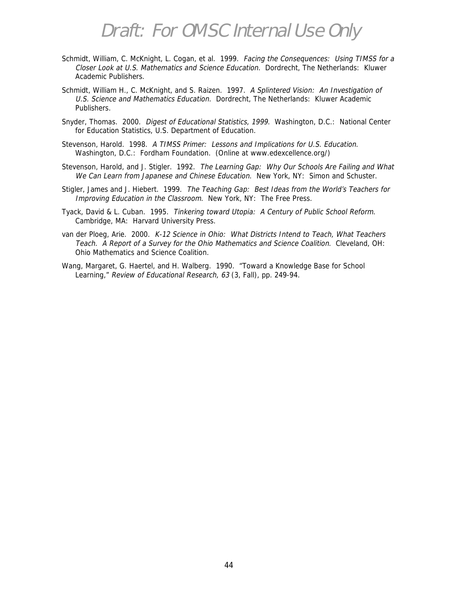- Schmidt, William, C. McKnight, L. Cogan, et al. 1999. Facing the Consequences: Using TIMSS for a Closer Look at U.S. Mathematics and Science Education. Dordrecht, The Netherlands: Kluwer Academic Publishers.
- Schmidt, William H., C. McKnight, and S. Raizen. 1997. A Splintered Vision: An Investigation of U.S. Science and Mathematics Education. Dordrecht, The Netherlands: Kluwer Academic Publishers.
- Snyder, Thomas. 2000. Digest of Educational Statistics, 1999. Washington, D.C.: National Center for Education Statistics, U.S. Department of Education.
- Stevenson, Harold. 1998. A TIMSS Primer: Lessons and Implications for U.S. Education. Washington, D.C.: Fordham Foundation. (Online at www.edexcellence.org/)
- Stevenson, Harold, and J. Stigler. 1992. The Learning Gap: Why Our Schools Are Failing and What We Can Learn from Japanese and Chinese Education. New York, NY: Simon and Schuster.
- Stigler, James and J. Hiebert. 1999. The Teaching Gap: Best Ideas from the World's Teachers for Improving Education in the Classroom. New York, NY: The Free Press.
- Tyack, David & L. Cuban. 1995. Tinkering toward Utopia: A Century of Public School Reform. Cambridge, MA: Harvard University Press.
- van der Ploeg, Arie. 2000. K-12 Science in Ohio: What Districts Intend to Teach, What Teachers Teach. A Report of a Survey for the Ohio Mathematics and Science Coalition. Cleveland, OH: Ohio Mathematics and Science Coalition.
- Wang, Margaret, G. Haertel, and H. Walberg. 1990. "Toward a Knowledge Base for School Learning," Review of Educational Research, 63 (3, Fall), pp. 249-94.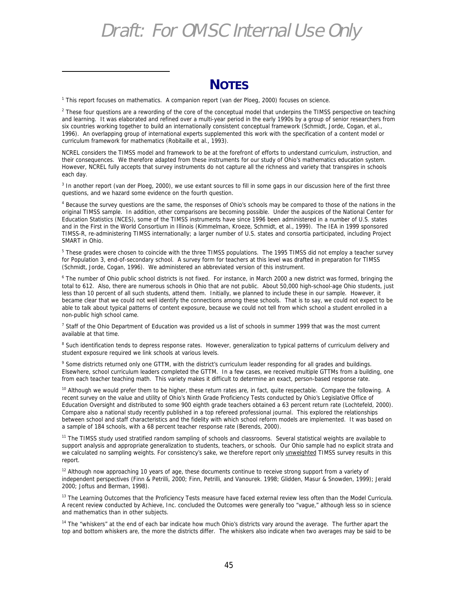#### **NOTES**

<sup>1</sup> This report focuses on mathematics. A companion report (van der Ploeg, 2000) focuses on science.

1

<sup>2</sup> These four questions are a rewording of the core of the conceptual model that underpins the TIMSS perspective on teaching and learning. It was elaborated and refined over a multi-year period in the early 1990s by a group of senior researchers from six countries working together to build an internationally consistent conceptual framework (Schmidt, Jorde, Cogan, et al., 1996). An overlapping group of international experts supplemented this work with the specification of a content model or curriculum framework for mathematics (Robitaille et al., 1993).

NCREL considers the TIMSS model and framework to be at the forefront of efforts to understand curriculum, instruction, and their consequences. We therefore adapted from these instruments for our study of Ohio's mathematics education system. However, NCREL fully accepts that survey instruments do not capture all the richness and variety that transpires in schools each day.

<sup>3</sup> In another report (van der Ploeg, 2000), we use extant sources to fill in some gaps in our discussion here of the first three questions, and we hazard some evidence on the fourth question.

<sup>4</sup> Because the survey questions are the same, the responses of Ohio's schools may be compared to those of the nations in the original TIMSS sample. In addition, other comparisons are becoming possible. Under the auspices of the National Center for Education Statistics (NCES), some of the TIMSS instruments have since 1996 been administered in a number of U.S. states and in the First in the World Consortium in Illinois (Kimmelman, Kroeze, Schmidt, et al., 1999). The IEA in 1999 sponsored TIMSS-R, re-administering TIMSS internationally; a larger number of U.S. states and consortia participated, including Project SMART in Ohio.

<sup>5</sup> These grades were chosen to coincide with the three TIMSS populations. The 1995 TIMSS did not employ a teacher survey for Population 3, end-of-secondary school. A survey form for teachers at this level was drafted in preparation for TIMSS (Schmidt, Jorde, Cogan, 1996). We administered an abbreviated version of this instrument.

<sup>6</sup> The number of Ohio public school districts is not fixed. For instance, in March 2000 a new district was formed, bringing the total to 612. Also, there are numerous schools in Ohio that are not public. About 50,000 high-school-age Ohio students, just less than 10 percent of all such students, attend them. Initially, we planned to include these in our sample. However, it became clear that we could not well identify the connections among these schools. That is to say, we could not expect to be able to talk about typical patterns of content exposure, because we could not tell from which school a student enrolled in a non-public high school came.

<sup>7</sup> Staff of the Ohio Department of Education was provided us a list of schools in summer 1999 that was the most current available at that time.

<sup>8</sup> Such identification tends to depress response rates. However, generalization to typical patterns of curriculum delivery and student exposure required we link schools at various levels.

<sup>9</sup> Some districts returned only one GTTM, with the district's curriculum leader responding for all grades and buildings. Elsewhere, school curriculum leaders completed the GTTM. In a few cases, we received multiple GTTMs from a building, one from each teacher teaching math. This variety makes it difficult to determine an exact, person-based response rate.

<sup>10</sup> Although we would prefer them to be higher, these return rates are, in fact, quite respectable. Compare the following. A recent survey on the value and utility of Ohio's Ninth Grade Proficiency Tests conducted by Ohio's Legislative Office of Education Oversight and distributed to some 900 eighth grade teachers obtained a 63 percent return rate (Lochtefeld, 2000). Compare also a national study recently published in a top refereed professional journal. This explored the relationships between school and staff characteristics and the fidelity with which school reform models are implemented. It was based on a sample of 184 schools, with a 68 percent teacher response rate (Berends, 2000).

<sup>11</sup> The TIMSS study used stratified random sampling of schools and classrooms. Several statistical weights are available to support analysis and appropriate generalization to students, teachers, or schools. Our Ohio sample had no explicit strata and we calculated no sampling weights. For consistency's sake, we therefore report only *unweighted* TIMSS survey results in this report.

 $12$  Although now approaching 10 years of age, these documents continue to receive strong support from a variety of independent perspectives (Finn & Petrilli, 2000; Finn, Petrilli, and Vanourek. 1998; Glidden, Masur & Snowden, 1999); Jerald 2000; Joftus and Berman, 1998).

<sup>13</sup> The Learning Outcomes that the Proficiency Tests measure have faced external review less often than the Model Curricula. A recent review conducted by Achieve, Inc. concluded the Outcomes were generally too "vague," although less so in science and mathematics than in other subjects.

<sup>14</sup> The "whiskers" at the end of each bar indicate how much Ohio's districts vary around the average. The further apart the top and bottom whiskers are, the more the districts differ. The whiskers also indicate when two averages may be said to be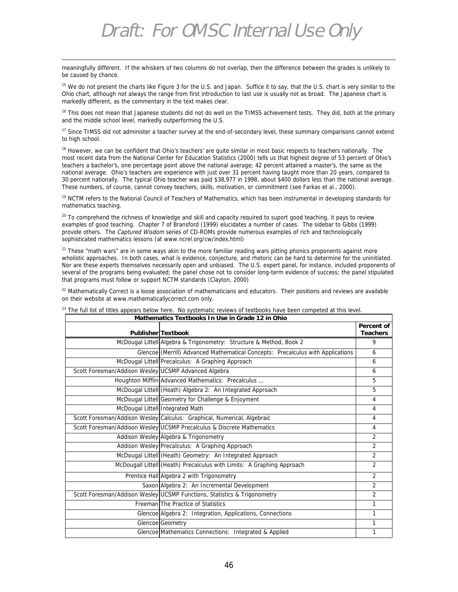meaningfully different. If the whiskers of two columns do not overlap, then the difference between the grades is unlikely to be caused by chance.

<u>.</u>

<sup>15</sup> We do not present the charts like Figure 3 for the U.S. and Japan. Suffice it to say, that the U.S. chart is very similar to the Ohio chart, although not always the range from first introduction to last use is usually not as broad. The Japanese chart is markedly different, as the commentary in the text makes clear.

<sup>16</sup> This does not mean that Japanese students did not do well on the TIMSS achievement tests. They did, both at the primary and the middle school level, markedly outperforming the U.S.

<sup>17</sup> Since TIMSS did not administer a teacher survey at the end-of-secondary level, these summary comparisons cannot extend to high school.

<sup>18</sup> However, we can be confident that Ohio's teachers' are quite similar in most basic respects to teachers nationally. The most recent data from the National Center for Education Statistics (2000) tells us that highest degree of 53 percent of Ohio's teachers a bachelor's, one percentage point above the national average; 42 percent attained a master's, the same as the national average. Ohio's teachers are experience with just over 31 percent having taught more than 20 years, compared to 30 percent nationally. The typical Ohio teacher was paid \$38,977 in 1998, about \$400 dollars less than the national average. These numbers, of course, cannot convey teachers, skills, motivation, or commitment (see Farkas et al., 2000).

<sup>19</sup> NCTM refers to the National Council of Teachers of Mathematics, which has been instrumental in developing standards for mathematics teaching.

 $20$  To comprehend the richness of knowledge and skill and capacity required to suport good teaching, it pays to review examples of good teaching. Chapter 7 of Bransford (1999) elucidates a number of cases. The sidebar to Gibbs (1999) provide others. The Captured Wisdom series of CD-ROMs provide numerous examples of rich and technologically sophisticated mathematics lessons (at www.ncrel.org/cw/index.html)

 $21$  These "math wars" are in some ways akin to the more familiar reading wars pitting phonics proponents against more wholistic approaches. In both cases, what is evidence, conjecture, and rhetoric can be hard to determine for the uninitiated. Nor are these experts themselves necessarily open and unbiased. The U.S. expert panel, for instance, included proponents of several of the programs being evaluated; the panel chose not to consider long-term evidence of success; the panel stipulated that programs must follow or support NCTM standards (Clayton, 2000)

<sup>22</sup> Mathematically Correct is a loose association of mathematicians and educators. Their positions and reviews are available on their website at www.mathematicallycorrect.com only.

|                                                      | Mathematics Textbooks In Use In Grade TZ In Onlo                                | Percent of      |
|------------------------------------------------------|---------------------------------------------------------------------------------|-----------------|
|                                                      | Publisher Textbook                                                              | <b>Teachers</b> |
|                                                      | McDougal Littell Algebra & Trigonometry: Structure & Method, Book 2             | 9               |
|                                                      | Glencoe (Merrill) Advanced Mathematical Concepts: Precalculus with Applications | 6               |
|                                                      | McDougal Littell Precalculus: A Graphing Approach                               | 6               |
| Scott Foresman/Addison Wesley UCSMP Advanced Algebra |                                                                                 | 6               |
|                                                      | Houghton Mifflin Advanced Mathematics: Precalculus                              | 5               |
|                                                      | McDougal Littell (Heath) Algebra 2: An Integrated Approach                      | 5               |
|                                                      | McDougal Littell Geometry for Challenge & Enjoyment                             | 4               |
|                                                      | McDougal Littell Integrated Math                                                | 4               |
|                                                      | Scott Foresman/Addison Wesley Calculus: Graphical, Numerical, Algebraic         | 4               |
|                                                      | Scott Foresman/Addison Wesley UCSMP Precalculus & Discrete Mathematics          | 4               |
|                                                      | Addison Wesley Algebra & Trigonometry                                           | $\overline{2}$  |
|                                                      | Addison Wesley Precalculus: A Graphing Approach                                 | $\mathfrak{D}$  |
|                                                      | McDougal Littell (Heath) Geometry: An Integrated Approach                       | $\mathfrak{D}$  |
|                                                      | McDougall Littell (Heath) Precalculus with Limits: A Graphing Approach          | $\overline{2}$  |
|                                                      | Prentice Hall Algebra 2 with Trigonometry                                       | $\overline{2}$  |
|                                                      | Saxon Algebra 2: An Incremental Development                                     | $\overline{2}$  |
|                                                      | Scott Foresman/Addison Wesley UCSMP Functions, Statistics & Trigonometry        | $\overline{2}$  |
|                                                      | Freeman The Practice of Statistics                                              | 1               |
|                                                      | Glencoe Algebra 2: Integration, Applications, Connections                       | 1               |
|                                                      | Glencoe Geometry                                                                | 1               |
|                                                      | Glencoe Mathematics Connections: Integrated & Applied                           | 1               |

 $23$  The full list of titles appears below here. No systematic reviews of textbooks have been competed at this level. **Mathematics Textbooks In Use in Grade 12 in Ohio**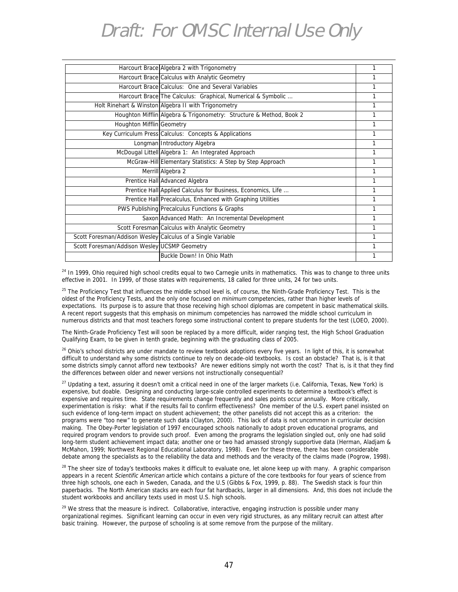|                                                             | Harcourt Brace Algebra 2 with Trigonometry                          | 1 |
|-------------------------------------------------------------|---------------------------------------------------------------------|---|
|                                                             | Harcourt Brace Calculus with Analytic Geometry                      | 1 |
|                                                             | Harcourt Brace Calculus: One and Several Variables                  | 1 |
|                                                             | Harcourt Brace The Calculus: Graphical, Numerical & Symbolic        | 1 |
|                                                             | Holt Rinehart & Winston Algebra II with Trigonometry                | 1 |
|                                                             | Houghton Mifflin Algebra & Trigonometry: Structure & Method, Book 2 | 1 |
| Houghton Mifflin Geometry                                   |                                                                     | 1 |
|                                                             | Key Curriculum Press Calculus: Concepts & Applications              | 1 |
|                                                             | Longman Introductory Algebra                                        | 1 |
|                                                             | McDougal Littell Algebra 1: An Integrated Approach                  | 1 |
|                                                             | McGraw-Hill Elementary Statistics: A Step by Step Approach          | 1 |
|                                                             | Merrill Algebra 2                                                   | 1 |
|                                                             | Prentice Hall Advanced Algebra                                      | 1 |
|                                                             | Prentice Hall Applied Calculus for Business, Economics, Life        | 1 |
|                                                             | Prentice Hall Precalculus, Enhanced with Graphing Utilities         | 1 |
|                                                             | PWS Publishing Precalculus Functions & Graphs                       | 1 |
|                                                             | Saxon Advanced Math: An Incremental Development                     | 1 |
|                                                             | Scott Foresman Calculus with Analytic Geometry                      | 1 |
| Scott Foresman/Addison Wesley Calculus of a Single Variable |                                                                     | 1 |
| Scott Foresman/Addison Wesley UCSMP Geometry                |                                                                     | 1 |
|                                                             | Buckle Down! In Ohio Math                                           | 1 |
|                                                             |                                                                     |   |

<sup>24</sup> In 1999, Ohio required high school credits equal to two Carnegie units in mathematics. This was to change to three units effective in 2001. In 1999, of those states with requirements, 18 called for three units, 24 for two units.

<sup>25</sup> The Proficiency Test that influences the middle school level is, of course, the Ninth-Grade Proficiency Test. This is the oldest of the Proficiency Tests, and the only one focused on minimum competencies, rather than higher levels of expectations. Its purpose is to assure that those receiving high school diplomas are competent in basic mathematical skills. A recent report suggests that this emphasis on minimum competencies has narrowed the middle school curriculum in numerous districts and that most teachers forego some instructional content to prepare students for the test (LOEO, 2000).

The Ninth-Grade Proficiency Test will soon be replaced by a more difficult, wider ranging test, the High School Graduation Qualifying Exam, to be given in tenth grade, beginning with the graduating class of 2005.

<sup>26</sup> Ohio's school districts are under mandate to review textbook adoptions every five years. In light of this, it is somewhat difficult to understand why some districts continue to rely on decade-old textbooks. Is cost an obstacle? That is, is it that some districts simply cannot afford new textbooks? Are newer editions simply not worth the cost? That is, is it that they find the differences between older and newer versions not instructionally consequential?

<sup>27</sup> Updating a text, assuring it doesn't omit a critical need in one of the larger markets (i.e. California, Texas, New York) is expensive, but doable. Designing and conducting large-scale controlled experiments to determine a textbook's effect is expensive and requires time. State requirements change frequently and sales points occur annually. More critically, experimentation is risky: what if the results fail to confirm effectiveness? One member of the U.S. expert panel insisted on such evidence of long-term impact on student achievement; the other panelists did not accept this as a criterion: the programs were "too new" to generate such data (Clayton, 2000). This lack of data is not uncommon in curricular decision making. The Obey-Porter legislation of 1997 encouraged schools nationally to adopt proven educational programs, and required program vendors to provide such proof. Even among the programs the legislation singled out, only one had solid long-term student achievement impact data; another one or two had amassed strongly supportive data (Herman, Aladjam & McMahon, 1999; Northwest Regional Educational Laboratory, 1998). Even for these three, there has been considerable debate among the specialists as to the reliability the data and methods and the veracity of the claims made (Pogrow, 1998).

 $28$  The sheer size of today's textbooks makes it difficult to evaluate one, let alone keep up with many. A graphic comparison appears in a recent Scientific American article which contains a picture of the core textbooks for four years of science from three high schools, one each in Sweden, Canada, and the U.S (Gibbs & Fox, 1999, p. 88). The Swedish stack is four thin paperbacks. The North American stacks are each four fat hardbacks, larger in all dimensions. And, this does not include the student workbooks and ancillary texts used in most U.S. high schools.

 $29$  We stress that the measure is indirect. Collaborative, interactive, engaging instruction is possible under many organizational regimes. Significant learning can occur in even very rigid structures, as any military recruit can attest after basic training. However, the purpose of schooling is at some remove from the purpose of the military.